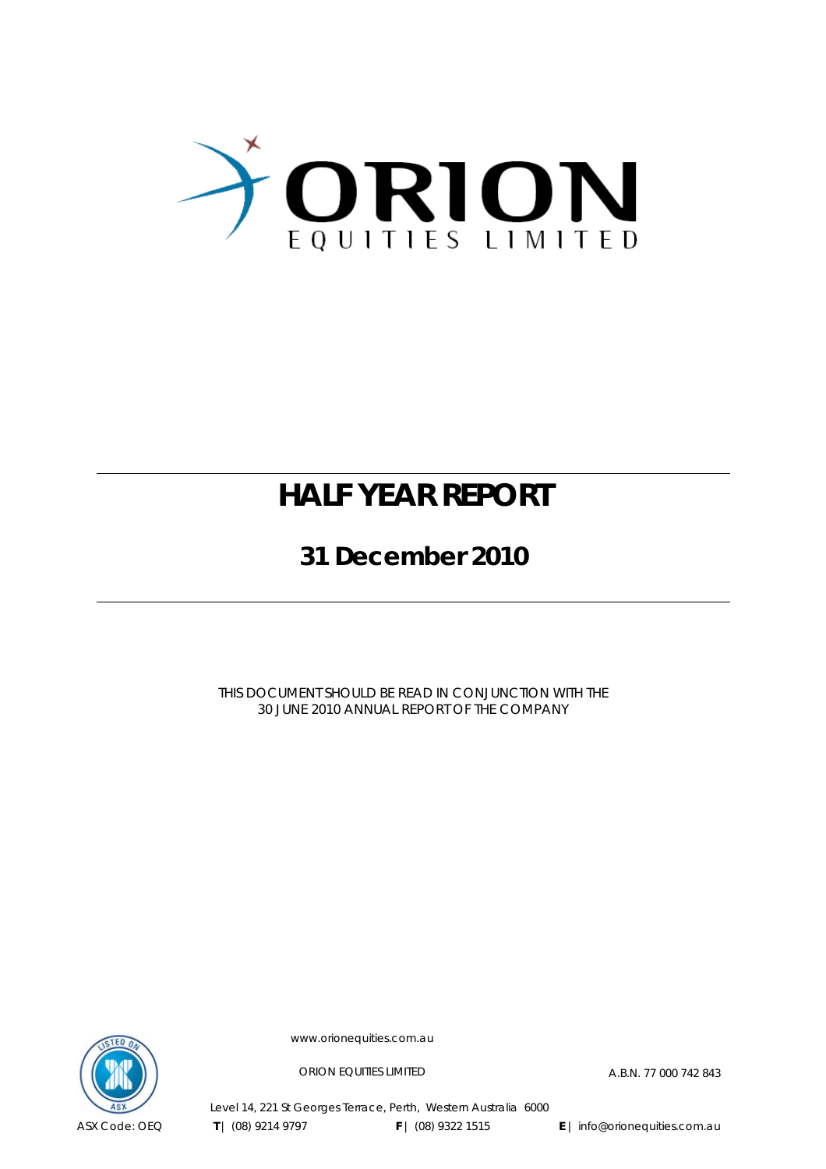

### **HALF YEAR REPORT**

**31 December 2010** 

THIS DOCUMENT SHOULD BE READ IN CONJUNCTION WITH THE 30 JUNE 2010 ANNUAL REPORT OF THE COMPANY



www.orionequities.com.au

ORION EQUITIES LIMITED A.B.N. 77 000 742 843

Level 14, 221 St Georges Terrace, Perth, Western Australia 6000  **T** | (08) 9214 9797 **F** | (08) 9322 1515 **E** | info@orionequities.com.au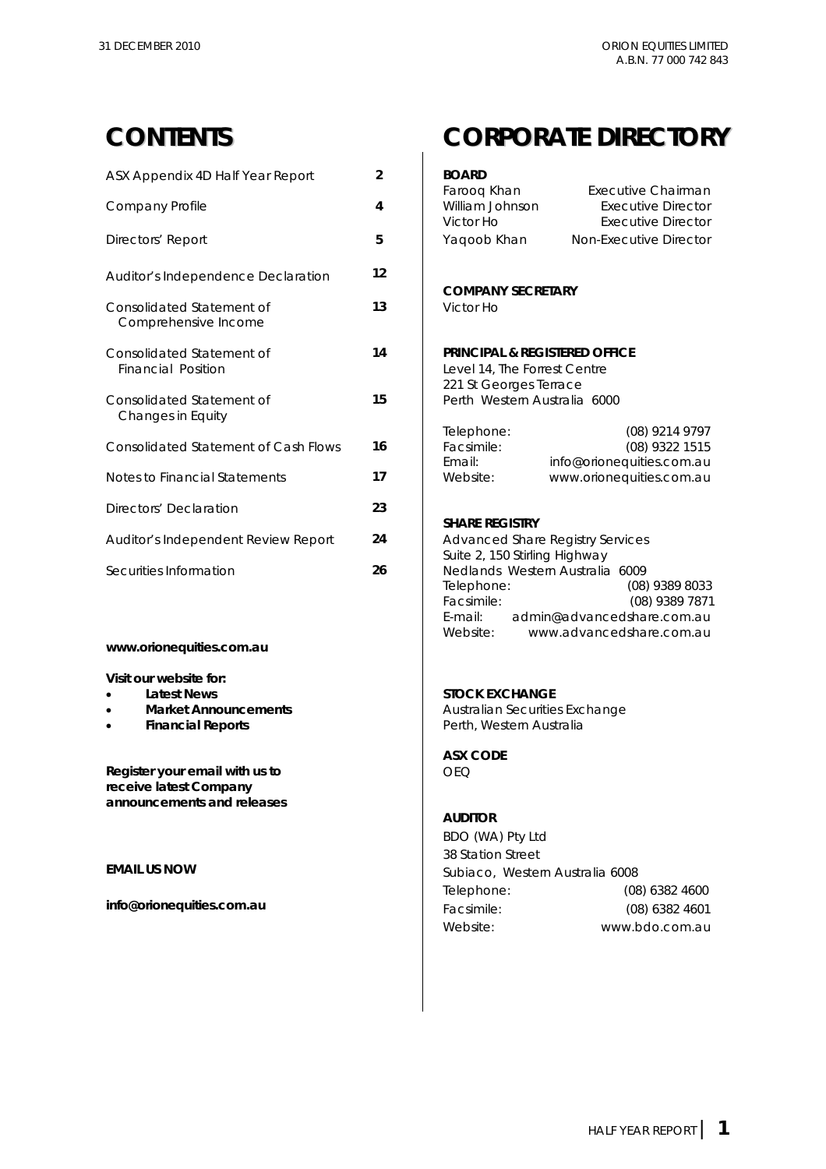| ASX Appendix 4D Half Year Report                  | $\overline{2}$ | <b>BOARD</b>                                                                                       |                                                                       |  |
|---------------------------------------------------|----------------|----------------------------------------------------------------------------------------------------|-----------------------------------------------------------------------|--|
| Company Profile                                   | 4              | Farooq Khan<br>William Johnson<br>Victor Ho                                                        | Executive Chairman<br>Executive Director<br><b>Executive Director</b> |  |
| Directors' Report                                 | 5              | Yaqoob Khan                                                                                        | Non-Executive Director                                                |  |
| Auditor's Independence Declaration                | 12             | <b>COMPANY SECRETARY</b>                                                                           |                                                                       |  |
| Consolidated Statement of<br>Comprehensive Income | 13             | Victor Ho                                                                                          |                                                                       |  |
| Consolidated Statement of<br>Financial Position   | 14             | <b>PRINCIPAL &amp; REGISTERED OFFICE</b><br>Level 14, The Forrest Centre<br>221 St Georges Terrace |                                                                       |  |
| Consolidated Statement of<br>Changes in Equity    | 15             | Perth Western Australia 6000                                                                       |                                                                       |  |
| Consolidated Statement of Cash Flows              | 16             | Telephone:<br>Facsimile:<br>Email:                                                                 | (08) 9214 9797<br>(08) 9322 1515<br>info@orionequities.com.au         |  |
| Notes to Financial Statements                     | 17             | Website:                                                                                           | www.orionequities.com.au                                              |  |
| Directors' Declaration                            | 23             |                                                                                                    |                                                                       |  |
| Auditor's Independent Review Report               | 24             | <b>SHARE REGISTRY</b><br><b>Advanced Share Registry Services</b><br>Suite 2, 150 Stirling Highway  |                                                                       |  |
| Securities Information                            | 26             |                                                                                                    | Nedlands Western Australia 6009                                       |  |

### **www.orionequities.com.au**

#### **Visit our website for:**

- **Latest News** STOCK EXCHANGE **STOCK EXCHANGE AND STOCK EXCHANGE AND STOCK EXCHANGE AND STOCK EXCHANGE AND STOCK EXCHANGE AND STOCK EXCHANGE AND STOCK EXCHANGE AND STOCK EXCHANGE AND STOCK EXCHANGE AND STOCK EXCHANGE AND ST**
- Market Announcements  $\begin{array}{ccc} \uparrow & \downarrow \end{array}$
- **Financial Reports Performancial Reports**

### **CONTENTS CORPORATE DIRECTORY**

| ASX Appendix 4D Half Year Report                                                                                                               | $\overline{2}$ | <b>BOARD</b>                                                                                                                                                                     |
|------------------------------------------------------------------------------------------------------------------------------------------------|----------------|----------------------------------------------------------------------------------------------------------------------------------------------------------------------------------|
| Company Profile                                                                                                                                | 4              | Farooq Khan<br>Executive Chairman<br>William Johnson<br>Executive Director<br>Victor Ho<br>Executive Director                                                                    |
| Directors' Report                                                                                                                              | 5              | Non-Executive Director<br>Yaqoob Khan                                                                                                                                            |
| Auditor's Independence Declaration                                                                                                             | 12             |                                                                                                                                                                                  |
| Consolidated Statement of<br>Comprehensive Income                                                                                              | 13             | <b>COMPANY SECRETARY</b><br>Victor Ho                                                                                                                                            |
| Consolidated Statement of<br><b>Financial Position</b>                                                                                         | 14             | <b>PRINCIPAL &amp; REGISTERED OFFICE</b><br>Level 14, The Forrest Centre<br>221 St Georges Terrace                                                                               |
| Consolidated Statement of<br>Changes in Equity                                                                                                 | 15             | Perth Western Australia 6000                                                                                                                                                     |
| <b>Consolidated Statement of Cash Flows</b>                                                                                                    | 16             | Telephone:<br>(08) 9214 9797<br>Facsimile:<br>(08) 9322 1515<br>Email:<br>info@orionequities.com.au                                                                              |
| Notes to Financial Statements                                                                                                                  | 17             | www.orionequities.com.au<br>Website:                                                                                                                                             |
| Directors' Declaration                                                                                                                         | 23             | <b>SHARE REGISTRY</b>                                                                                                                                                            |
| Auditor's Independent Review Report                                                                                                            | 24             | <b>Advanced Share Registry Services</b><br>Suite 2, 150 Stirling Highway                                                                                                         |
| Securities Information                                                                                                                         | 26             | Nedlands Western Australia 6009<br>Telephone:<br>(08) 9389 8033<br>Facsimile:<br>(08) 9389 7871<br>E-mail:<br>admin@advancedshare.com.au<br>Website:<br>www.advancedshare.com.au |
| www.orionequities.com.au                                                                                                                       |                |                                                                                                                                                                                  |
| Visit our website for:<br><b>Latest News</b><br>$\bullet$<br><b>Market Announcements</b><br>$\bullet$<br><b>Financial Reports</b><br>$\bullet$ |                | <b>STOCK EXCHANGE</b><br>Australian Securities Exchange<br>Perth, Western Australia                                                                                              |
| Register your email with us to<br>receive latest Company<br>announcements and releases                                                         |                | <b>ASX CODE</b><br><b>OEQ</b>                                                                                                                                                    |
|                                                                                                                                                |                | <b>AUDITOR</b>                                                                                                                                                                   |

 BDO (WA) Pty Ltd 38 Station Street **EMAIL US NOW EMAIL US NOW Subiaco**, Western Australia 6008 Telephone: (08) 6382 4600 **info@orionequities.com.au** Facsimile: (08) 6382 4601 Website: www.bdo.com.au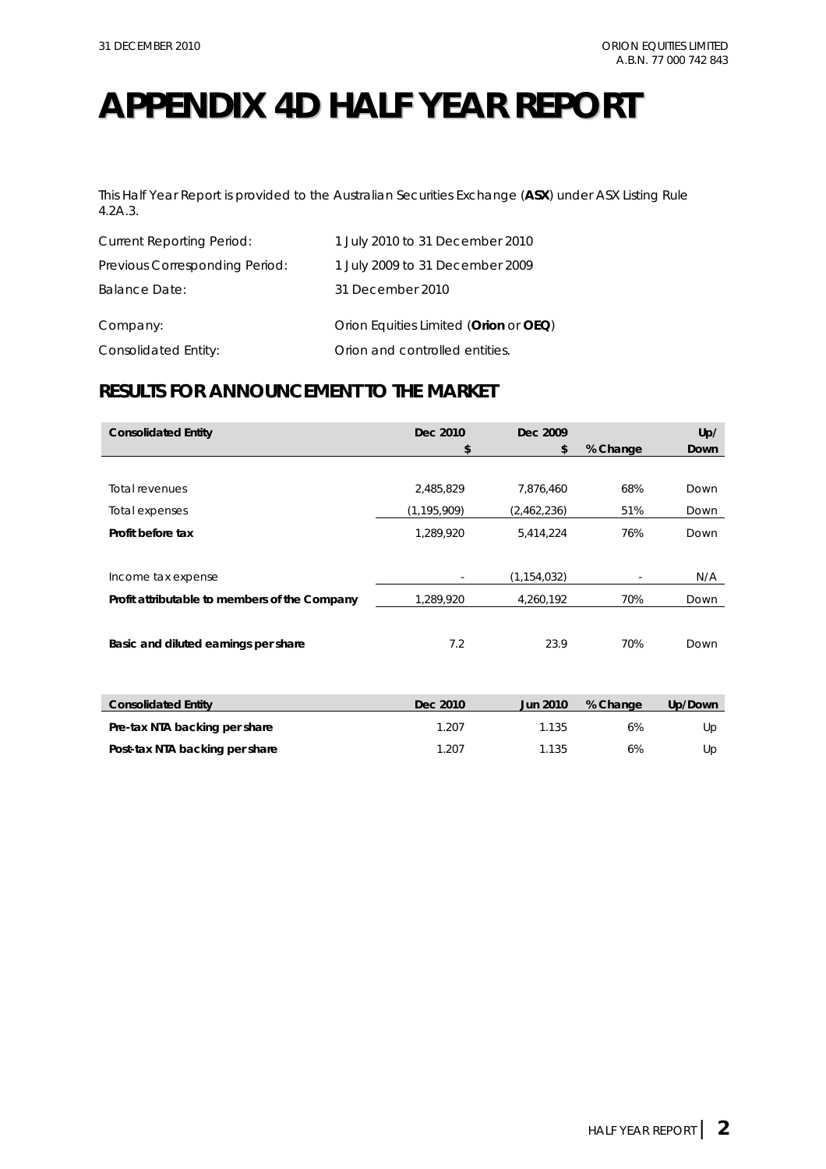## **APPENDIX 4D HALF YEAR REPORT**

This Half Year Report is provided to the Australian Securities Exchange (**ASX**) under ASX Listing Rule 4.2A.3.

| <b>Current Reporting Period:</b> | 1 July 2010 to 31 December 2010       |
|----------------------------------|---------------------------------------|
| Previous Corresponding Period:   | 1 July 2009 to 31 December 2009       |
| Balance Date:                    | 31 December 2010                      |
| Company:                         | Orion Equities Limited (Orion or OEQ) |
| Consolidated Entity:             | Orion and controlled entities.        |

### **RESULTS FOR ANNOUNCEMENT TO THE MARKET**

| <b>Consolidated Entity</b>                    | Dec 2010      | Dec 2009        |          | Up/     |
|-----------------------------------------------|---------------|-----------------|----------|---------|
|                                               | \$            | \$              | % Change | Down    |
|                                               |               |                 |          |         |
| Total revenues                                | 2,485,829     | 7,876,460       | 68%      | Down    |
| Total expenses                                | (1, 195, 909) | (2,462,236)     | 51%      | Down    |
| Profit before tax                             | 1,289,920     | 5,414,224       | 76%      | Down    |
|                                               |               |                 |          |         |
| Income tax expense                            |               | (1, 154, 032)   |          | N/A     |
| Profit attributable to members of the Company | 1,289,920     | 4,260,192       | 70%      | Down    |
|                                               |               |                 |          |         |
| Basic and diluted earnings per share          | 7.2           | 23.9            | 70%      | Down    |
|                                               |               |                 |          |         |
|                                               |               |                 |          |         |
| <b>Consolidated Entity</b>                    | Dec 2010      | <b>Jun 2010</b> | % Change | Up/Down |
| Pre-tax NTA backing per share                 | 1.207         | 1.135           | 6%       | Up      |
| Post-tax NTA backing per share                | 1.207         | 1.135           | 6%       | Up      |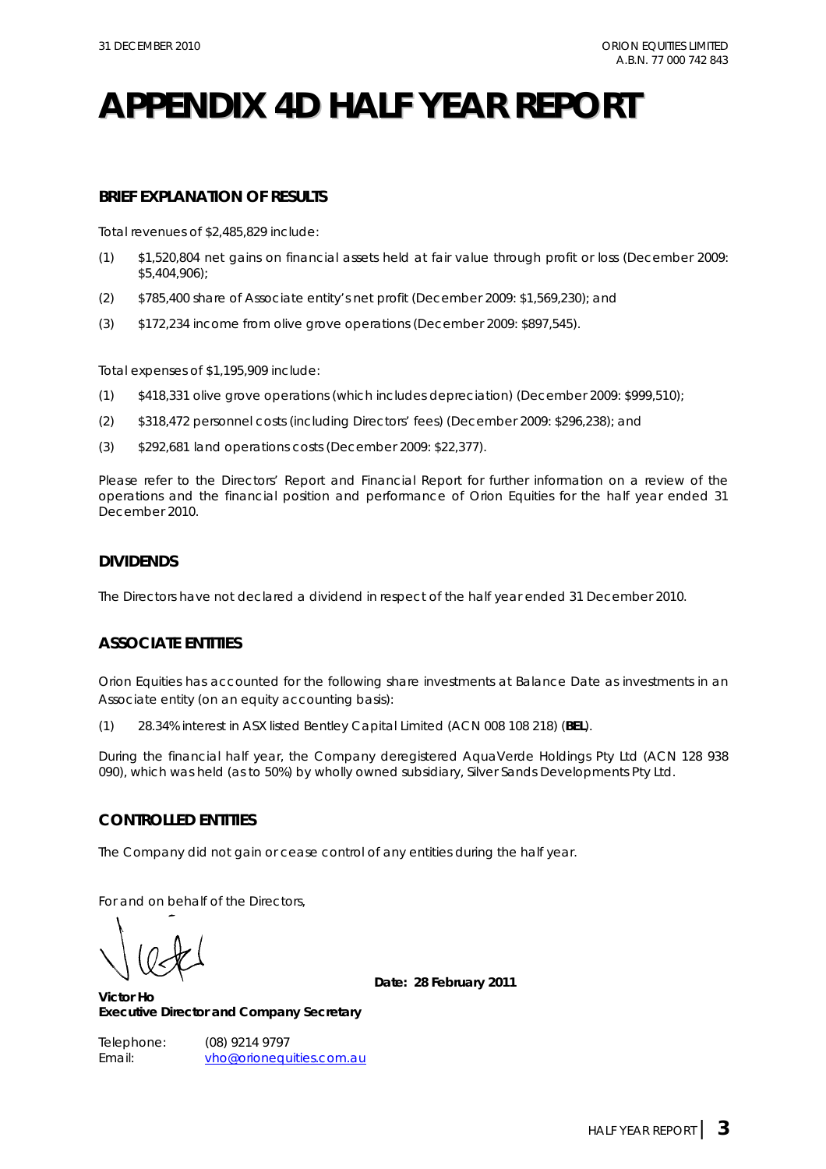## **APPENDIX 4D HALF YEAR REPORT**

### **BRIEF EXPLANATION OF RESULTS**

Total revenues of \$2,485,829 include:

- (1) \$1,520,804 net gains on financial assets held at fair value through profit or loss (December 2009: \$5,404,906);
- (2) \$785,400 share of Associate entity's net profit (December 2009: \$1,569,230); and
- (3) \$172,234 income from olive grove operations (December 2009: \$897,545).

Total expenses of \$1,195,909 include:

- (1) \$418,331 olive grove operations (which includes depreciation) (December 2009: \$999,510);
- (2) \$318,472 personnel costs (including Directors' fees) (December 2009: \$296,238); and
- (3) \$292,681 land operations costs (December 2009: \$22,377).

Please refer to the Directors' Report and Financial Report for further information on a review of the operations and the financial position and performance of Orion Equities for the half year ended 31 December 2010.

### **DIVIDENDS**

The Directors have not declared a dividend in respect of the half year ended 31 December 2010.

### **ASSOCIATE ENTITIES**

Orion Equities has accounted for the following share investments at Balance Date as investments in an Associate entity (on an equity accounting basis):

(1) 28.34% interest in ASX listed Bentley Capital Limited (ACN 008 108 218) (**BEL**).

During the financial half year, the Company deregistered AquaVerde Holdings Pty Ltd (ACN 128 938 090), which was held (as to 50%) by wholly owned subsidiary, Silver Sands Developments Pty Ltd.

### **CONTROLLED ENTITIES**

The Company did not gain or cease control of any entities during the half year.

For and on behalf of the Directors,

**Date: 28 February 2011** 

**Victor Ho Executive Director and Company Secretary** 

Telephone: (08) 9214 9797 Email: vho@orionequities.com.au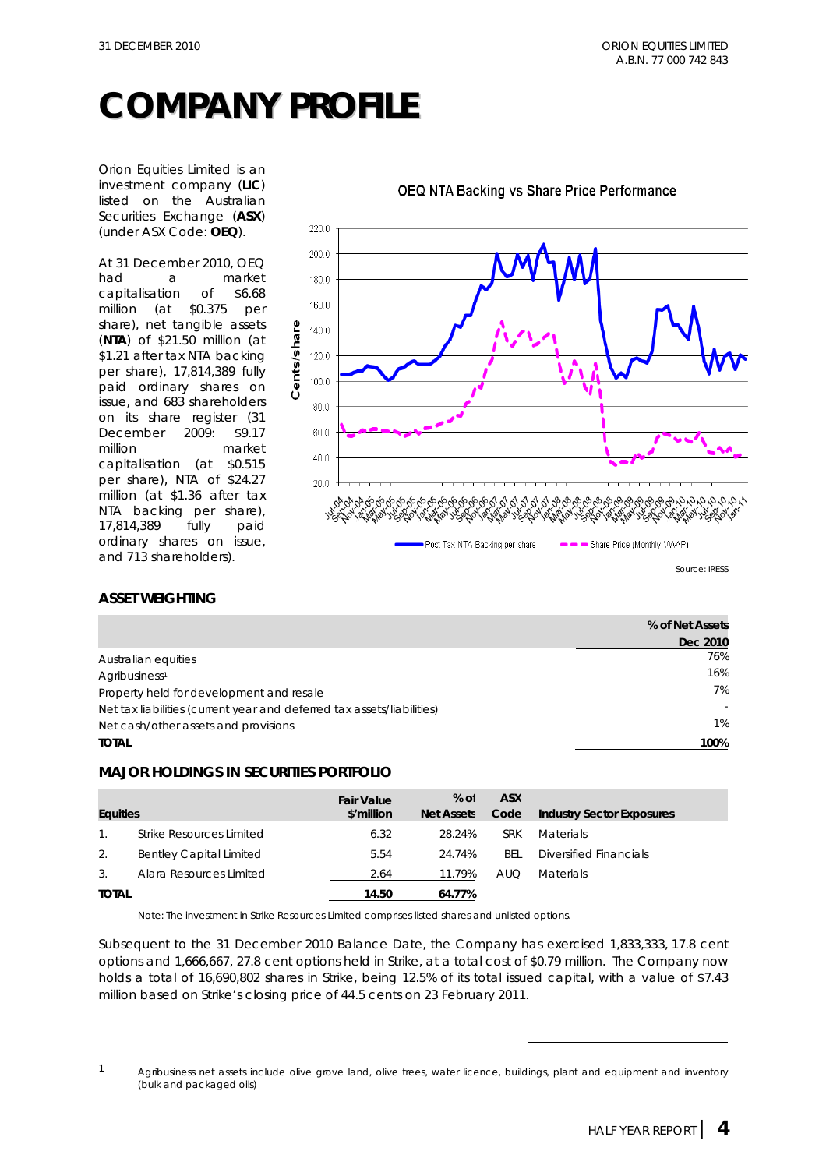## **COMPANY PROFILE**

Orion Equities Limited is an investment company (**LIC**) listed on the Australian Securities Exchange (**ASX**) (under ASX Code: **OEQ**).

At 31 December 2010, OEQ had a market capitalisation of \$6.68 million (at \$0.375 per share), net tangible assets (**NTA**) of \$21.50 million (at \$1.21 after tax NTA backing per share), 17,814,389 fully paid ordinary shares on issue, and 683 shareholders on its share register (31 December 2009: \$9.17 million market capitalisation (at \$0.515 per share), NTA of \$24.27 million (at \$1.36 after tax NTA backing per share), 17,814,389 fully paid ordinary shares on issue, and 713 shareholders).



### OEQ NTA Backing vs Share Price Performance

### **ASSET WEIGHTING**

|                                                                        | % of Net Assets |
|------------------------------------------------------------------------|-----------------|
|                                                                        | Dec 2010        |
| Australian equities                                                    | 76%             |
| Agribusiness <sup>1</sup>                                              | 16%             |
| Property held for development and resale                               | 7%              |
| Net tax liabilities (current year and deferred tax assets/liabilities) |                 |
| Net cash/other assets and provisions                                   | 1%              |
| <b>TOTAL</b>                                                           | 100%            |

### **MAJOR HOLDINGS IN SECURITIES PORTFOLIO**

| <b>Equities</b> |                                | <b>Fair Value</b><br>\$'million | $%$ of<br><b>Net Assets</b> | <b>ASX</b><br>Code | <b>Industry Sector Exposures</b> |
|-----------------|--------------------------------|---------------------------------|-----------------------------|--------------------|----------------------------------|
|                 | Strike Resources Limited       | 6.32                            | 28.24%                      | <b>SRK</b>         | <b>Materials</b>                 |
| 2.              | <b>Bentley Capital Limited</b> | 5.54                            | 24.74%                      | BEL.               | Diversified Financials           |
| 3.              | Alara Resources Limited        | 2.64                            | 11.79%                      | <b>AUQ</b>         | <b>Materials</b>                 |
| <b>TOTAL</b>    |                                | 14.50                           | 64.77%                      |                    |                                  |

Note: The investment in Strike Resources Limited comprises listed shares and unlisted options.

Subsequent to the 31 December 2010 Balance Date, the Company has exercised 1,833,333, 17.8 cent options and 1,666,667, 27.8 cent options held in Strike, at a total cost of \$0.79 million. The Company now holds a total of 16,690,802 shares in Strike, being 12.5% of its total issued capital, with a value of \$7.43 million based on Strike's closing price of 44.5 cents on 23 February 2011.

 $\overline{a}$ 

 $1$  Agribusiness net assets include olive grove land, olive trees, water licence, buildings, plant and equipment and inventory (bulk and packaged oils)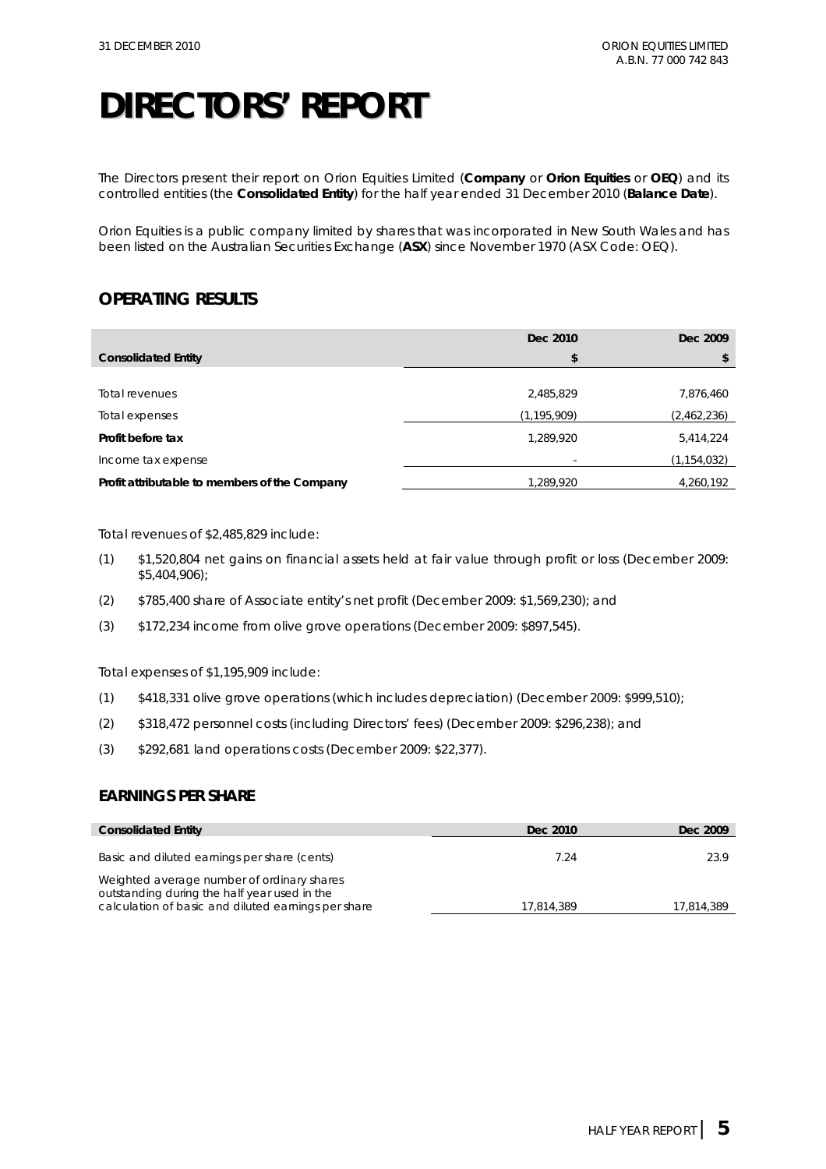The Directors present their report on Orion Equities Limited (**Company** or **Orion Equities** or **OEQ**) and its controlled entities (the **Consolidated Entity**) for the half year ended 31 December 2010 (**Balance Date**).

Orion Equities is a public company limited by shares that was incorporated in New South Wales and has been listed on the Australian Securities Exchange (**ASX**) since November 1970 (ASX Code: OEQ).

### **OPERATING RESULTS**

|                                               | Dec 2010      | Dec 2009    |
|-----------------------------------------------|---------------|-------------|
| <b>Consolidated Entity</b>                    | \$            | S           |
|                                               |               |             |
| Total revenues                                | 2,485,829     | 7,876,460   |
| Total expenses                                | (1, 195, 909) | (2,462,236) |
| Profit before tax                             | 1,289,920     | 5,414,224   |
| Income tax expense                            |               | (1,154,032) |
| Profit attributable to members of the Company | 1,289,920     | 4,260,192   |

Total revenues of \$2,485,829 include:

- (1) \$1,520,804 net gains on financial assets held at fair value through profit or loss (December 2009: \$5,404,906);
- (2) \$785,400 share of Associate entity's net profit (December 2009: \$1,569,230); and
- (3) \$172,234 income from olive grove operations (December 2009: \$897,545).

Total expenses of \$1,195,909 include:

- (1) \$418,331 olive grove operations (which includes depreciation) (December 2009: \$999,510);
- (2) \$318,472 personnel costs (including Directors' fees) (December 2009: \$296,238); and
- (3) \$292,681 land operations costs (December 2009: \$22,377).

### **EARNINGS PER SHARE**

| <b>Consolidated Entity</b>                                                                                                                        | Dec 2010   | Dec 2009   |
|---------------------------------------------------------------------------------------------------------------------------------------------------|------------|------------|
| Basic and diluted earnings per share (cents)                                                                                                      | 7.24       | 23.9       |
| Weighted average number of ordinary shares<br>outstanding during the half year used in the<br>calculation of basic and diluted earnings per share | 17.814.389 | 17,814,389 |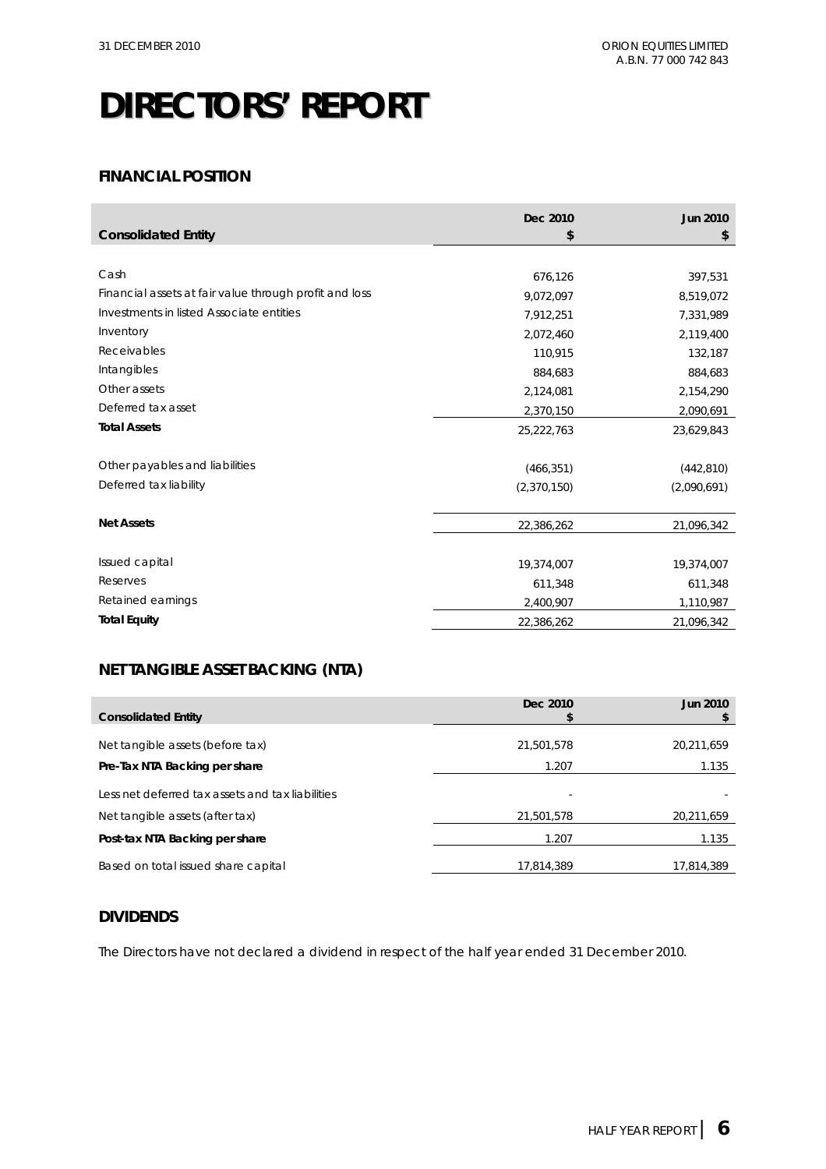### **FINANCIAL POSITION**

|                                                        | Dec 2010    | <b>Jun 2010</b> |
|--------------------------------------------------------|-------------|-----------------|
| <b>Consolidated Entity</b>                             | \$          | \$              |
|                                                        |             |                 |
| Cash                                                   | 676,126     | 397,531         |
| Financial assets at fair value through profit and loss | 9,072,097   | 8,519,072       |
| Investments in listed Associate entities               | 7,912,251   | 7,331,989       |
| Inventory                                              | 2,072,460   | 2,119,400       |
| Receivables                                            | 110,915     | 132,187         |
| Intangibles                                            | 884,683     | 884,683         |
| Other assets                                           | 2,124,081   | 2,154,290       |
| Deferred tax asset                                     | 2,370,150   | 2,090,691       |
| <b>Total Assets</b>                                    | 25,222,763  | 23,629,843      |
|                                                        |             |                 |
| Other payables and liabilities                         | (466, 351)  | (442, 810)      |
| Deferred tax liability                                 | (2,370,150) | (2,090,691)     |
|                                                        |             |                 |
| <b>Net Assets</b>                                      | 22,386,262  | 21,096,342      |
|                                                        |             |                 |
| Issued capital                                         | 19,374,007  | 19,374,007      |
| Reserves                                               | 611,348     | 611,348         |
| Retained earnings                                      | 2,400,907   | 1,110,987       |
| <b>Total Equity</b>                                    | 22,386,262  | 21,096,342      |

### **NET TANGIBLE ASSET BACKING (NTA)**

| <b>Consolidated Entity</b>                       | Dec 2010   | <b>Jun 2010</b> |
|--------------------------------------------------|------------|-----------------|
| Net tangible assets (before tax)                 | 21,501,578 | 20,211,659      |
| Pre-Tax NTA Backing per share                    | 1.207      | 1.135           |
| Less net deferred tax assets and tax liabilities | ٠          |                 |
| Net tangible assets (after tax)                  | 21,501,578 | 20,211,659      |
| Post-tax NTA Backing per share                   | 1.207      | 1.135           |
| Based on total issued share capital              | 17,814,389 | 17,814,389      |

### **DIVIDENDS**

The Directors have not declared a dividend in respect of the half year ended 31 December 2010.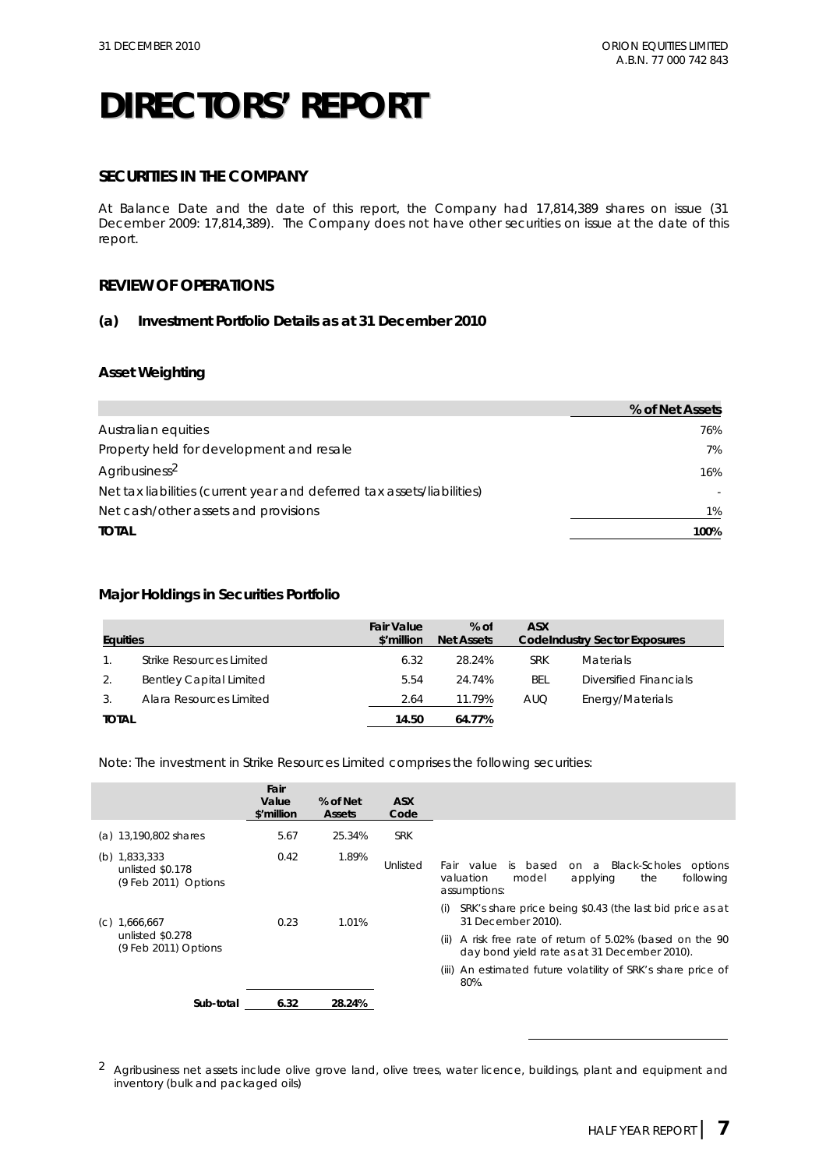### **SECURITIES IN THE COMPANY**

At Balance Date and the date of this report, the Company had 17,814,389 shares on issue (31 December 2009: 17,814,389). The Company does not have other securities on issue at the date of this report.

### **REVIEW OF OPERATIONS**

### **(a) Investment Portfolio Details as at 31 December 2010**

### **Asset Weighting**

|                                                                        | % of Net Assets |
|------------------------------------------------------------------------|-----------------|
| Australian equities                                                    | 76%             |
| Property held for development and resale                               | 7%              |
| Agribusiness <sup>2</sup>                                              | 16%             |
| Net tax liabilities (current year and deferred tax assets/liabilities) |                 |
| Net cash/other assets and provisions                                   | 1%              |
| <b>TOTAL</b>                                                           | 100%            |

### **Major Holdings in Securities Portfolio**

| <b>Equities</b> |                                | <b>Fair Value</b><br>\$'million | $%$ of<br><b>Net Assets</b> | <b>ASX</b> | <b>Codelndustry Sector Exposures</b> |
|-----------------|--------------------------------|---------------------------------|-----------------------------|------------|--------------------------------------|
|                 | Strike Resources Limited       | 6.32                            | 28.24%                      | <b>SRK</b> | <b>Materials</b>                     |
| 2.              | <b>Bentley Capital Limited</b> | 5.54                            | 24.74%                      | BEL        | Diversified Financials               |
| 3.              | Alara Resources Limited        | 2.64                            | 11.79%                      | <b>AUQ</b> | Energy/Materials                     |
| <b>TOTAL</b>    |                                | 14.50                           | 64.77%                      |            |                                      |

Note: The investment in Strike Resources Limited comprises the following securities:

|                                                               | Fair<br>Value<br>\$'million | % of Net<br><b>Assets</b> | <b>ASX</b><br>Code |                                                                                                                                                                                                       |
|---------------------------------------------------------------|-----------------------------|---------------------------|--------------------|-------------------------------------------------------------------------------------------------------------------------------------------------------------------------------------------------------|
| (a) 13,190,802 shares                                         | 5.67                        | 25.34%                    | <b>SRK</b>         |                                                                                                                                                                                                       |
| (b) $1,833,333$<br>unlisted \$0.178<br>$(9$ Feb 2011) Options | 0.42                        | 1.89%                     | Unlisted           | is based<br><b>Black-Scholes</b><br>Fair value<br>options<br>on a<br>following<br>valuation<br>model<br>applying<br>the<br>assumptions:                                                               |
| 1,666,667<br>(C)<br>unlisted \$0.278<br>(9 Feb 2011) Options  | 0.23                        | 1.01%                     |                    | SRK's share price being \$0.43 (the last bid price as at<br>(i)<br>31 December 2010).<br>A risk free rate of return of 5.02% (based on the 90<br>(ii)<br>day bond yield rate as at 31 December 2010). |
|                                                               |                             |                           |                    | (iii) An estimated future volatility of SRK's share price of<br>80%.                                                                                                                                  |
| Sub-total                                                     | 6.32                        | 28.24%                    |                    |                                                                                                                                                                                                       |

<sup>2</sup> Agribusiness net assets include olive grove land, olive trees, water licence, buildings, plant and equipment and inventory (bulk and packaged oils)

 $\overline{a}$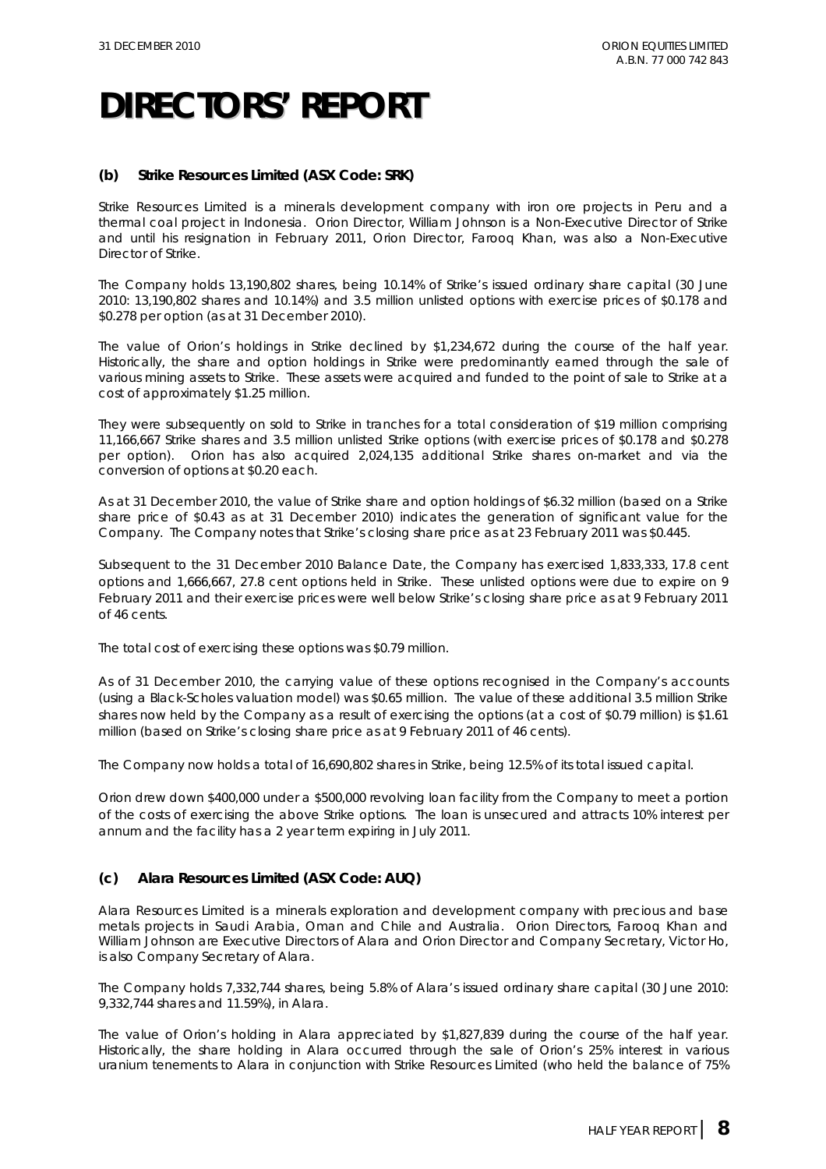### **(b) Strike Resources Limited (ASX Code: SRK)**

Strike Resources Limited is a minerals development company with iron ore projects in Peru and a thermal coal project in Indonesia. Orion Director, William Johnson is a Non-Executive Director of Strike and until his resignation in February 2011, Orion Director, Farooq Khan, was also a Non-Executive Director of Strike.

The Company holds 13,190,802 shares, being 10.14% of Strike's issued ordinary share capital (30 June 2010: 13,190,802 shares and 10.14%) and 3.5 million unlisted options with exercise prices of \$0.178 and \$0.278 per option (as at 31 December 2010).

The value of Orion's holdings in Strike declined by \$1,234,672 during the course of the half year. Historically, the share and option holdings in Strike were predominantly earned through the sale of various mining assets to Strike. These assets were acquired and funded to the point of sale to Strike at a cost of approximately \$1.25 million.

They were subsequently on sold to Strike in tranches for a total consideration of \$19 million comprising 11,166,667 Strike shares and 3.5 million unlisted Strike options (with exercise prices of \$0.178 and \$0.278 per option). Orion has also acquired 2,024,135 additional Strike shares on-market and via the conversion of options at \$0.20 each.

As at 31 December 2010, the value of Strike share and option holdings of \$6.32 million (based on a Strike share price of \$0.43 as at 31 December 2010) indicates the generation of significant value for the Company. The Company notes that Strike's closing share price as at 23 February 2011 was \$0.445.

Subsequent to the 31 December 2010 Balance Date, the Company has exercised 1,833,333, 17.8 cent options and 1,666,667, 27.8 cent options held in Strike. These unlisted options were due to expire on 9 February 2011 and their exercise prices were well below Strike's closing share price as at 9 February 2011 of 46 cents.

The total cost of exercising these options was \$0.79 million.

As of 31 December 2010, the carrying value of these options recognised in the Company's accounts (using a Black-Scholes valuation model) was \$0.65 million. The value of these additional 3.5 million Strike shares now held by the Company as a result of exercising the options (at a cost of \$0.79 million) is \$1.61 million (based on Strike's closing share price as at 9 February 2011 of 46 cents).

The Company now holds a total of 16,690,802 shares in Strike, being 12.5% of its total issued capital.

Orion drew down \$400,000 under a \$500,000 revolving loan facility from the Company to meet a portion of the costs of exercising the above Strike options. The loan is unsecured and attracts 10% interest per annum and the facility has a 2 year term expiring in July 2011.

### **(c) Alara Resources Limited (ASX Code: AUQ)**

Alara Resources Limited is a minerals exploration and development company with precious and base metals projects in Saudi Arabia, Oman and Chile and Australia. Orion Directors, Farooq Khan and William Johnson are Executive Directors of Alara and Orion Director and Company Secretary, Victor Ho, is also Company Secretary of Alara.

The Company holds 7,332,744 shares, being 5.8% of Alara's issued ordinary share capital (30 June 2010: 9,332,744 shares and 11.59%), in Alara.

The value of Orion's holding in Alara appreciated by \$1,827,839 during the course of the half year. Historically, the share holding in Alara occurred through the sale of Orion's 25% interest in various uranium tenements to Alara in conjunction with Strike Resources Limited (who held the balance of 75%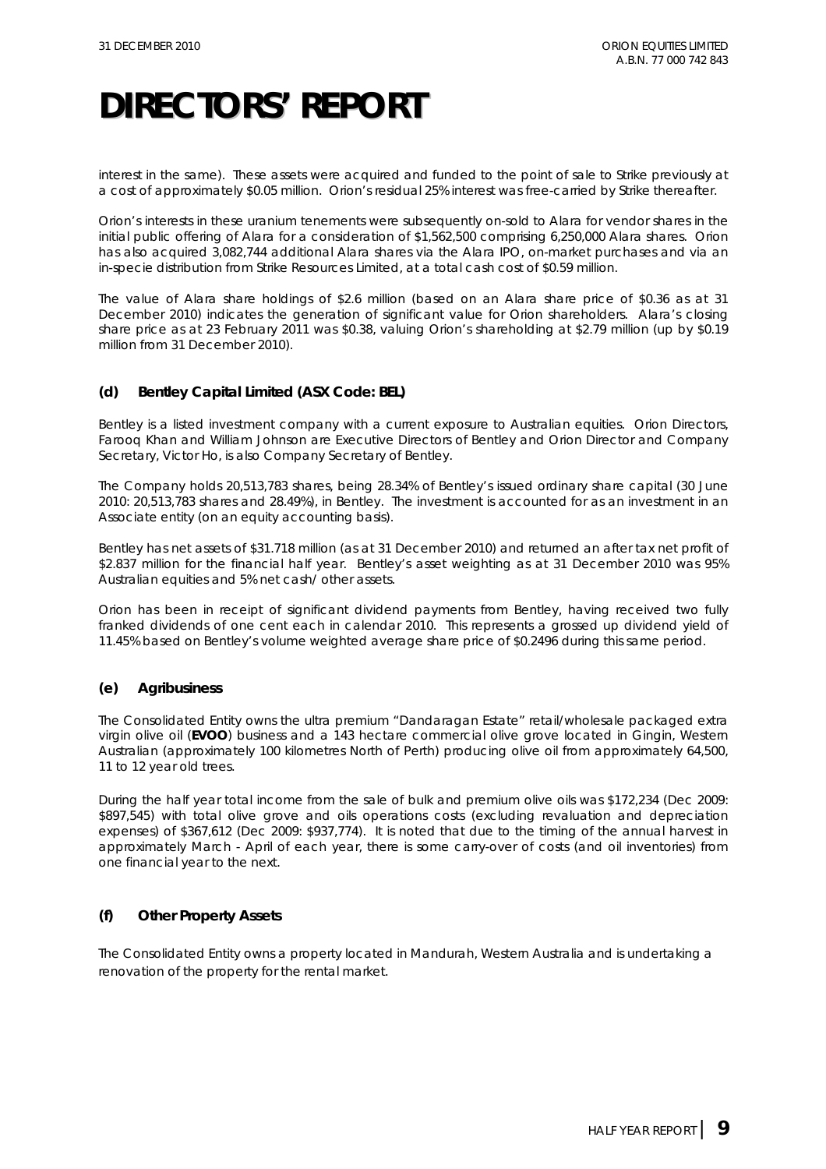interest in the same). These assets were acquired and funded to the point of sale to Strike previously at a cost of approximately \$0.05 million. Orion's residual 25% interest was free-carried by Strike thereafter.

Orion's interests in these uranium tenements were subsequently on-sold to Alara for vendor shares in the initial public offering of Alara for a consideration of \$1,562,500 comprising 6,250,000 Alara shares. Orion has also acquired 3,082,744 additional Alara shares via the Alara IPO, on-market purchases and via an in-specie distribution from Strike Resources Limited, at a total cash cost of \$0.59 million.

The value of Alara share holdings of \$2.6 million (based on an Alara share price of \$0.36 as at 31 December 2010) indicates the generation of significant value for Orion shareholders. Alara's closing share price as at 23 February 2011 was \$0.38, valuing Orion's shareholding at \$2.79 million (up by \$0.19 million from 31 December 2010).

### **(d) Bentley Capital Limited (ASX Code: BEL)**

Bentley is a listed investment company with a current exposure to Australian equities. Orion Directors, Farooq Khan and William Johnson are Executive Directors of Bentley and Orion Director and Company Secretary, Victor Ho, is also Company Secretary of Bentley.

The Company holds 20,513,783 shares, being 28.34% of Bentley's issued ordinary share capital (30 June 2010: 20,513,783 shares and 28.49%), in Bentley. The investment is accounted for as an investment in an Associate entity (on an equity accounting basis).

Bentley has net assets of \$31.718 million (as at 31 December 2010) and returned an after tax net profit of \$2.837 million for the financial half year. Bentley's asset weighting as at 31 December 2010 was 95% Australian equities and 5% net cash/ other assets.

Orion has been in receipt of significant dividend payments from Bentley, having received two fully franked dividends of one cent each in calendar 2010. This represents a grossed up dividend yield of 11.45% based on Bentley's volume weighted average share price of \$0.2496 during this same period.

### **(e) Agribusiness**

The Consolidated Entity owns the ultra premium "Dandaragan Estate" retail/wholesale packaged extra virgin olive oil (**EVOO**) business and a 143 hectare commercial olive grove located in Gingin, Western Australian (approximately 100 kilometres North of Perth) producing olive oil from approximately 64,500, 11 to 12 year old trees.

During the half year total income from the sale of bulk and premium olive oils was \$172,234 (Dec 2009: \$897,545) with total olive grove and oils operations costs (excluding revaluation and depreciation expenses) of \$367,612 (Dec 2009: \$937,774). It is noted that due to the timing of the annual harvest in approximately March - April of each year, there is some carry-over of costs (and oil inventories) from one financial year to the next.

### **(f) Other Property Assets**

The Consolidated Entity owns a property located in Mandurah, Western Australia and is undertaking a renovation of the property for the rental market.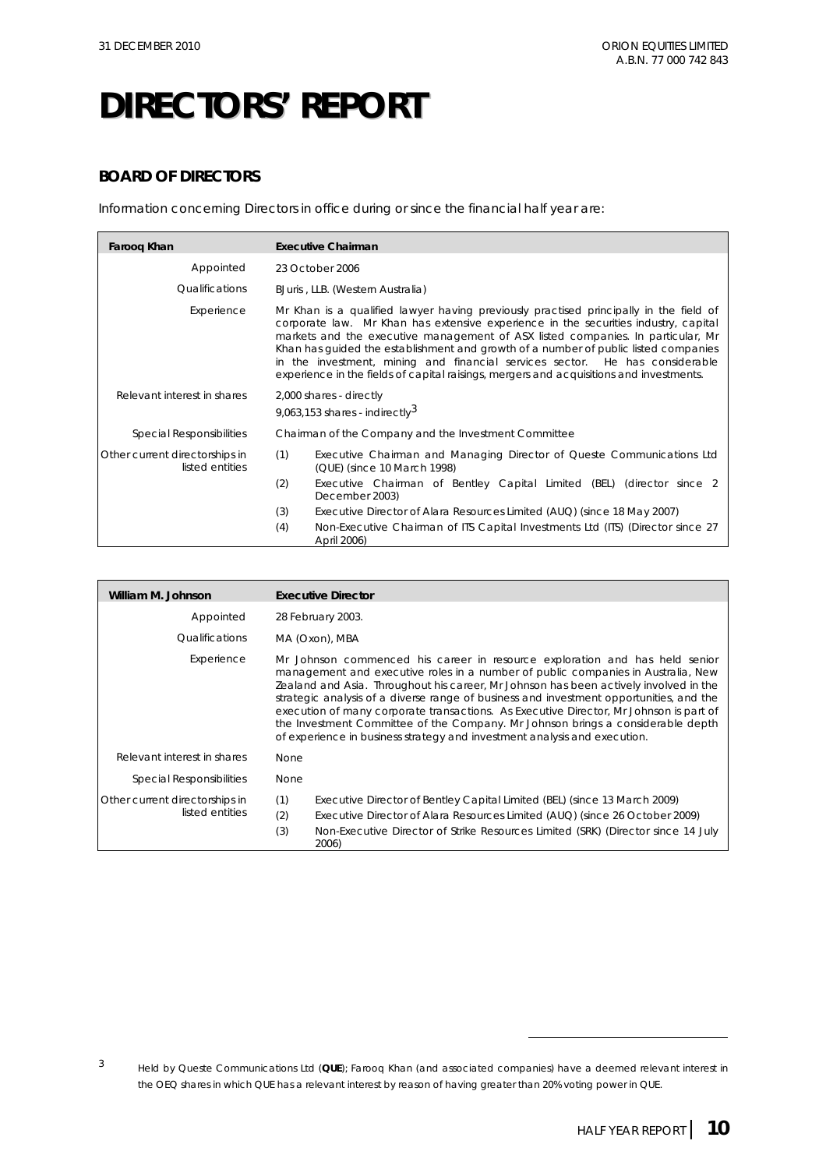### **BOARD OF DIRECTORS**

Information concerning Directors in office during or since the financial half year are:

| Faroog Khan                                       | <b>Executive Chairman</b>                                                                                                                                                                                                                                                                                                                                                                                                                                                                                                         |  |  |  |  |
|---------------------------------------------------|-----------------------------------------------------------------------------------------------------------------------------------------------------------------------------------------------------------------------------------------------------------------------------------------------------------------------------------------------------------------------------------------------------------------------------------------------------------------------------------------------------------------------------------|--|--|--|--|
| Appointed                                         | 23 October 2006                                                                                                                                                                                                                                                                                                                                                                                                                                                                                                                   |  |  |  |  |
| Qualifications                                    | BJuris, LLB. (Western Australia)                                                                                                                                                                                                                                                                                                                                                                                                                                                                                                  |  |  |  |  |
| Experience                                        | Mr Khan is a qualified lawyer having previously practised principally in the field of<br>corporate law. Mr Khan has extensive experience in the securities industry, capital<br>markets and the executive management of ASX listed companies. In particular, Mr<br>Khan has guided the establishment and growth of a number of public listed companies<br>in the investment, mining and financial services sector. He has considerable<br>experience in the fields of capital raisings, mergers and acquisitions and investments. |  |  |  |  |
| Relevant interest in shares                       | 2,000 shares - directly<br>9,063,153 shares - indirectly $3$                                                                                                                                                                                                                                                                                                                                                                                                                                                                      |  |  |  |  |
| <b>Special Responsibilities</b>                   | Chairman of the Company and the Investment Committee                                                                                                                                                                                                                                                                                                                                                                                                                                                                              |  |  |  |  |
| Other current directorships in<br>listed entities | (1)<br>Executive Chairman and Managing Director of Queste Communications Ltd<br>(QUE) (since 10 March 1998)                                                                                                                                                                                                                                                                                                                                                                                                                       |  |  |  |  |
|                                                   | (2)<br>Executive Chairman of Bentley Capital Limited (BEL) (director since 2<br>December 2003)                                                                                                                                                                                                                                                                                                                                                                                                                                    |  |  |  |  |
|                                                   | (3)<br>Executive Director of Alara Resources Limited (AUQ) (since 18 May 2007)                                                                                                                                                                                                                                                                                                                                                                                                                                                    |  |  |  |  |
|                                                   | (4)<br>Non-Executive Chairman of ITS Capital Investments Ltd (ITS) (Director since 27<br>April 2006)                                                                                                                                                                                                                                                                                                                                                                                                                              |  |  |  |  |

| William M. Johnson                                | <b>Executive Director</b>                                                                                                                                                                                                                                                                                                                                                                                                                                                                                                                                                                                     |
|---------------------------------------------------|---------------------------------------------------------------------------------------------------------------------------------------------------------------------------------------------------------------------------------------------------------------------------------------------------------------------------------------------------------------------------------------------------------------------------------------------------------------------------------------------------------------------------------------------------------------------------------------------------------------|
| Appointed                                         | 28 February 2003.                                                                                                                                                                                                                                                                                                                                                                                                                                                                                                                                                                                             |
| Qualifications                                    | MA (Oxon), MBA                                                                                                                                                                                                                                                                                                                                                                                                                                                                                                                                                                                                |
| Experience                                        | Mr Johnson commenced his career in resource exploration and has held senior<br>management and executive roles in a number of public companies in Australia, New<br>Zealand and Asia. Throughout his career, Mr Johnson has been actively involved in the<br>strategic analysis of a diverse range of business and investment opportunities, and the<br>execution of many corporate transactions. As Executive Director, Mr Johnson is part of<br>the Investment Committee of the Company. Mr Johnson brings a considerable depth<br>of experience in business strategy and investment analysis and execution. |
| Relevant interest in shares                       | <b>None</b>                                                                                                                                                                                                                                                                                                                                                                                                                                                                                                                                                                                                   |
| Special Responsibilities                          | None                                                                                                                                                                                                                                                                                                                                                                                                                                                                                                                                                                                                          |
| Other current directorships in<br>listed entities | (1)<br>Executive Director of Bentley Capital Limited (BEL) (since 13 March 2009)<br>(2)<br>Executive Director of Alara Resources Limited (AUQ) (since 26 October 2009)<br>(3)<br>Non-Executive Director of Strike Resources Limited (SRK) (Director since 14 July<br>2006)                                                                                                                                                                                                                                                                                                                                    |

 $\overline{a}$ 

<sup>3</sup> Held by Queste Communications Ltd (**QUE**); Farooq Khan (and associated companies) have a deemed relevant interest in the OEQ shares in which QUE has a relevant interest by reason of having greater than 20% voting power in QUE.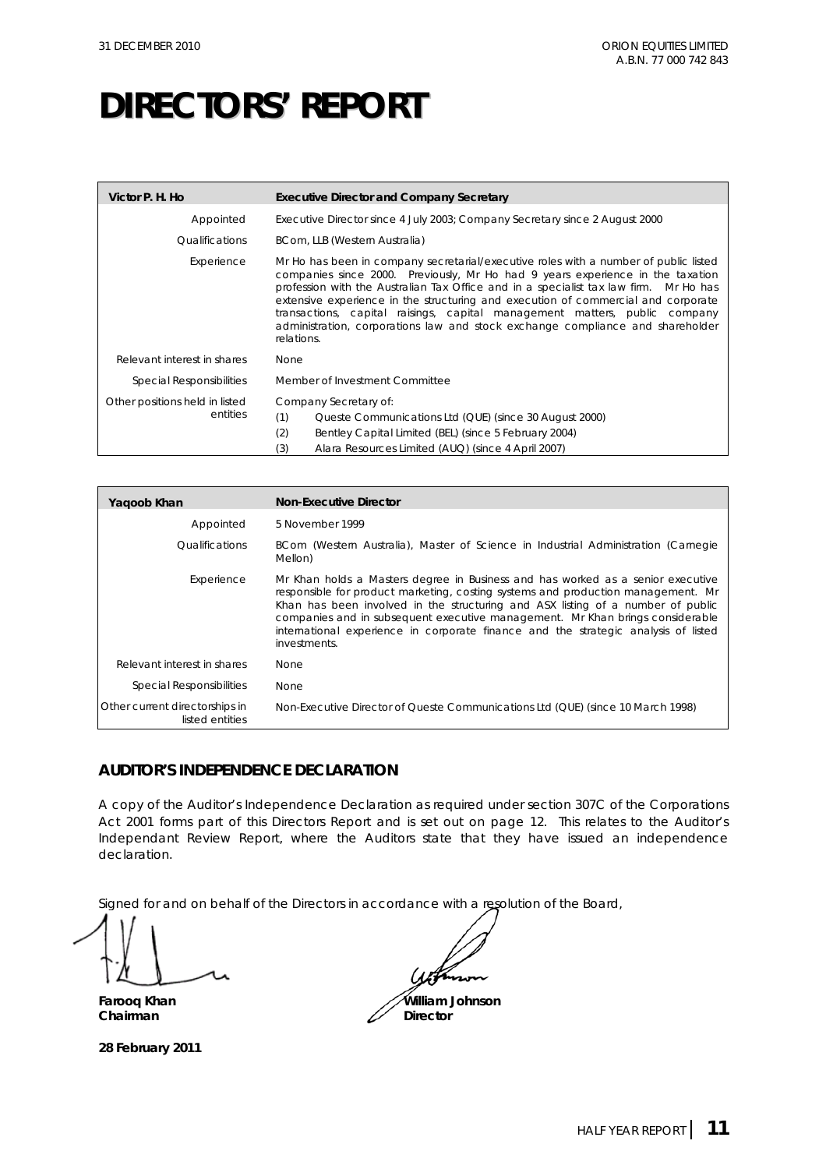| Victor P. H. Ho                            | <b>Executive Director and Company Secretary</b>                                                                                                                                                                                                                                                                                                                                                                                                                                                                                    |  |  |
|--------------------------------------------|------------------------------------------------------------------------------------------------------------------------------------------------------------------------------------------------------------------------------------------------------------------------------------------------------------------------------------------------------------------------------------------------------------------------------------------------------------------------------------------------------------------------------------|--|--|
| Appointed                                  | Executive Director since 4 July 2003; Company Secretary since 2 August 2000                                                                                                                                                                                                                                                                                                                                                                                                                                                        |  |  |
| Qualifications                             | BCom, LLB (Western Australia)                                                                                                                                                                                                                                                                                                                                                                                                                                                                                                      |  |  |
| Experience                                 | Mr Ho has been in company secretarial/executive roles with a number of public listed<br>companies since 2000. Previously, Mr Ho had 9 years experience in the taxation<br>profession with the Australian Tax Office and in a specialist tax law firm. Mr Ho has<br>extensive experience in the structuring and execution of commercial and corporate<br>transactions, capital raisings, capital management matters, public company<br>administration, corporations law and stock exchange compliance and shareholder<br>relations. |  |  |
| Relevant interest in shares                | <b>None</b>                                                                                                                                                                                                                                                                                                                                                                                                                                                                                                                        |  |  |
| Special Responsibilities                   | Member of Investment Committee                                                                                                                                                                                                                                                                                                                                                                                                                                                                                                     |  |  |
| Other positions held in listed<br>entities | Company Secretary of:<br>(1)<br>Queste Communications Ltd (QUE) (since 30 August 2000)<br>(2)<br>Bentley Capital Limited (BEL) (since 5 February 2004)<br>Alara Resources Limited (AUQ) (since 4 April 2007)<br>(3)                                                                                                                                                                                                                                                                                                                |  |  |

| Yagoob Khan                                       | <b>Non-Executive Director</b>                                                                                                                                                                                                                                                                                                                                                                                                                 |
|---------------------------------------------------|-----------------------------------------------------------------------------------------------------------------------------------------------------------------------------------------------------------------------------------------------------------------------------------------------------------------------------------------------------------------------------------------------------------------------------------------------|
| Appointed                                         | 5 November 1999                                                                                                                                                                                                                                                                                                                                                                                                                               |
| Qualifications                                    | BCom (Western Australia), Master of Science in Industrial Administration (Carnegie<br>Mellon)                                                                                                                                                                                                                                                                                                                                                 |
| Experience                                        | Mr Khan holds a Masters degree in Business and has worked as a senior executive<br>responsible for product marketing, costing systems and production management. Mr<br>Khan has been involved in the structuring and ASX listing of a number of public<br>companies and in subsequent executive management. Mr Khan brings considerable<br>international experience in corporate finance and the strategic analysis of listed<br>investments. |
| Relevant interest in shares                       | <b>None</b>                                                                                                                                                                                                                                                                                                                                                                                                                                   |
| Special Responsibilities                          | <b>None</b>                                                                                                                                                                                                                                                                                                                                                                                                                                   |
| Other current directorships in<br>listed entities | Non-Executive Director of Queste Communications Ltd (QUE) (since 10 March 1998)                                                                                                                                                                                                                                                                                                                                                               |

### **AUDITOR'S INDEPENDENCE DECLARATION**

A copy of the Auditor's Independence Declaration as required under section 307C of the *Corporations Act 2001* forms part of this Directors Report and is set out on page 12. This relates to the Auditor's Independant Review Report, where the Auditors state that they have issued an independence declaration.

Signed for and on behalf of the Directors in accordance with a resolution of the Board,

Chairman

**28 February 2011** 

**Farooq Khan William Johnson**<br> **Chairman William Johnson**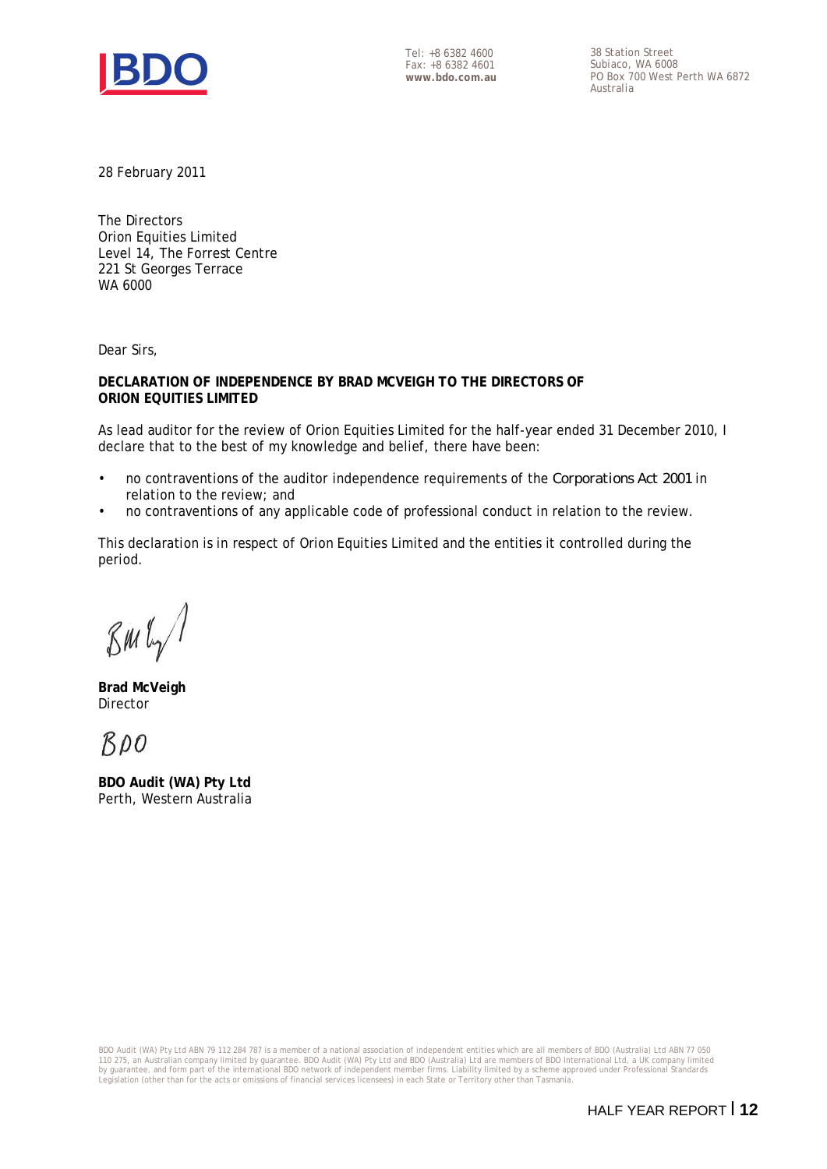

Tel: +8 6382 4600 Fax: +8 6382 4601 **www.bdo.com.au**  38 Station Street Subiaco, WA 6008 PO Box 700 West Perth WA 6872 Australia

28 February 2011

The Directors Orion Equities Limited Level 14, The Forrest Centre 221 St Georges Terrace WA 6000

Dear Sirs,

**DECLARATION OF INDEPENDENCE BY BRAD MCVEIGH TO THE DIRECTORS OF ORION EQUITIES LIMITED** 

As lead auditor for the review of Orion Equities Limited for the half-year ended 31 December 2010, I declare that to the best of my knowledge and belief, there have been:

- no contraventions of the auditor independence requirements of the *Corporations Act 2001* in relation to the review; and
- no contraventions of any applicable code of professional conduct in relation to the review.

This declaration is in respect of Orion Equities Limited and the entities it controlled during the period.

 $\mathcal{B}$ M $\mathfrak{l}_{\gamma}$ 

**Brad McVeigh**  Director

 $BDO$ 

**BDO Audit (WA) Pty Ltd** Perth, Western Australia

BDO Audit (WA) Pty Ltd ABN 79 112 284 787 is a member of a national association of independent entities which are all members of BDO (Australia) Ltd ABN 77 050<br>110 275, an Australian company limited by guarantee. BDO Audit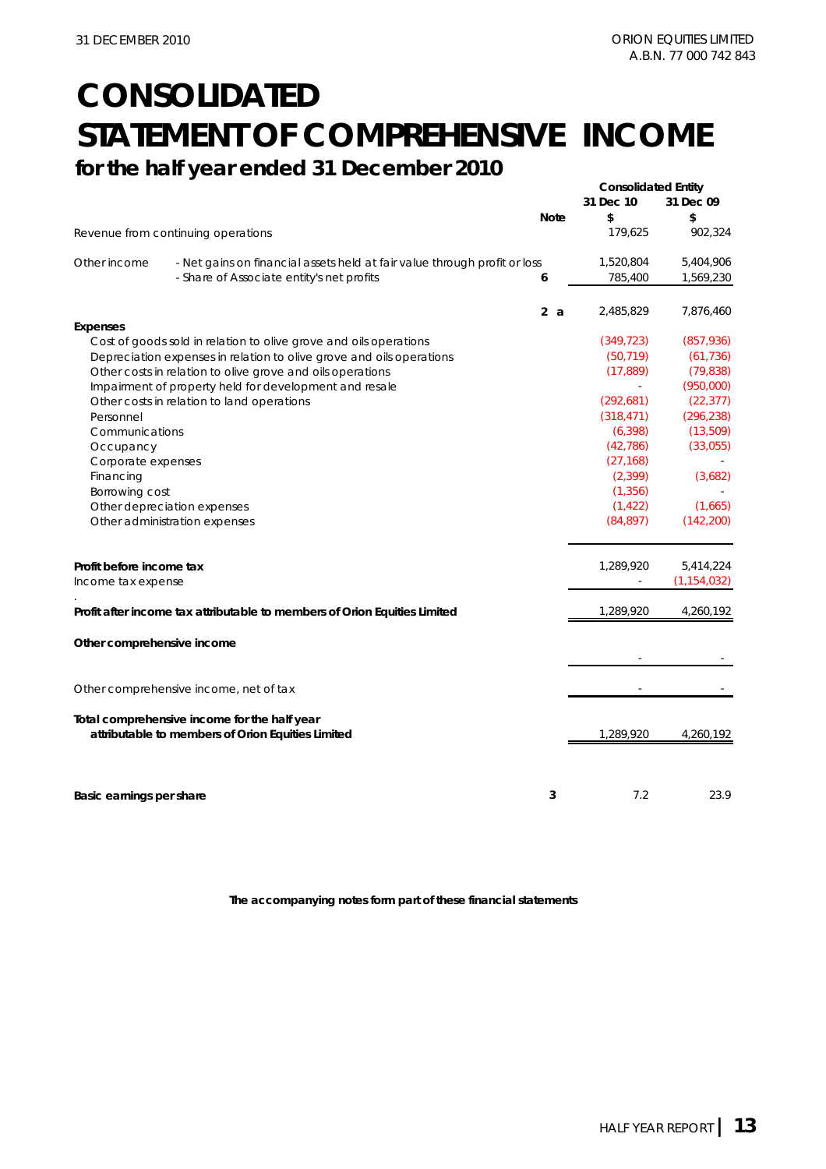### **CONSOLIDATED STATEMENT OF COMPREHENSIVE INCOME for the half year ended 31 December 2010**

|                             |                                                                           |   |             | <b>Consolidated Entity</b><br>31 Dec 10<br>31 Dec 09 |               |
|-----------------------------|---------------------------------------------------------------------------|---|-------------|------------------------------------------------------|---------------|
|                             |                                                                           |   | <b>Note</b> | \$                                                   | \$            |
|                             | Revenue from continuing operations                                        |   |             | 179,625                                              | 902,324       |
| Other income                | - Net gains on financial assets held at fair value through profit or loss |   |             | 1,520,804                                            | 5,404,906     |
|                             | - Share of Associate entity's net profits                                 | 6 |             | 785,400                                              | 1,569,230     |
|                             |                                                                           |   | 2a          | 2,485,829                                            | 7,876,460     |
| <b>Expenses</b>             |                                                                           |   |             |                                                      |               |
|                             | Cost of goods sold in relation to olive grove and oils operations         |   |             | (349, 723)                                           | (857, 936)    |
|                             | Depreciation expenses in relation to olive grove and oils operations      |   |             | (50, 719)                                            | (61, 736)     |
|                             | Other costs in relation to olive grove and oils operations                |   |             | (17, 889)                                            | (79, 838)     |
|                             | Impairment of property held for development and resale                    |   |             |                                                      | (950,000)     |
|                             | Other costs in relation to land operations                                |   |             | (292, 681)                                           | (22, 377)     |
| Personnel                   |                                                                           |   |             | (318, 471)                                           | (296, 238)    |
| Communications              |                                                                           |   |             | (6, 398)                                             | (13,509)      |
| Occupancy                   |                                                                           |   |             | (42, 786)                                            | (33,055)      |
| Corporate expenses          |                                                                           |   |             | (27, 168)                                            |               |
| Financing                   |                                                                           |   |             | (2, 399)                                             | (3,682)       |
| Borrowing cost              |                                                                           |   |             | (1, 356)                                             |               |
| Other depreciation expenses |                                                                           |   |             | (1, 422)                                             | (1,665)       |
|                             | Other administration expenses                                             |   |             | (84, 897)                                            | (142, 200)    |
| Profit before income tax    |                                                                           |   |             | 1,289,920                                            | 5,414,224     |
| Income tax expense          |                                                                           |   |             |                                                      | (1, 154, 032) |
|                             |                                                                           |   |             |                                                      |               |
|                             | Profit after income tax attributable to members of Orion Equities Limited |   |             | 1,289,920                                            | 4,260,192     |
| Other comprehensive income  |                                                                           |   |             |                                                      |               |
|                             |                                                                           |   |             |                                                      |               |
|                             | Other comprehensive income, net of tax                                    |   |             |                                                      |               |
|                             | Total comprehensive income for the half year                              |   |             |                                                      |               |
|                             | attributable to members of Orion Equities Limited                         |   |             | 1,289,920                                            | 4,260,192     |
|                             |                                                                           |   |             |                                                      |               |
| Basic earnings per share    |                                                                           |   | 3           | 7.2                                                  | 23.9          |
|                             |                                                                           |   |             |                                                      |               |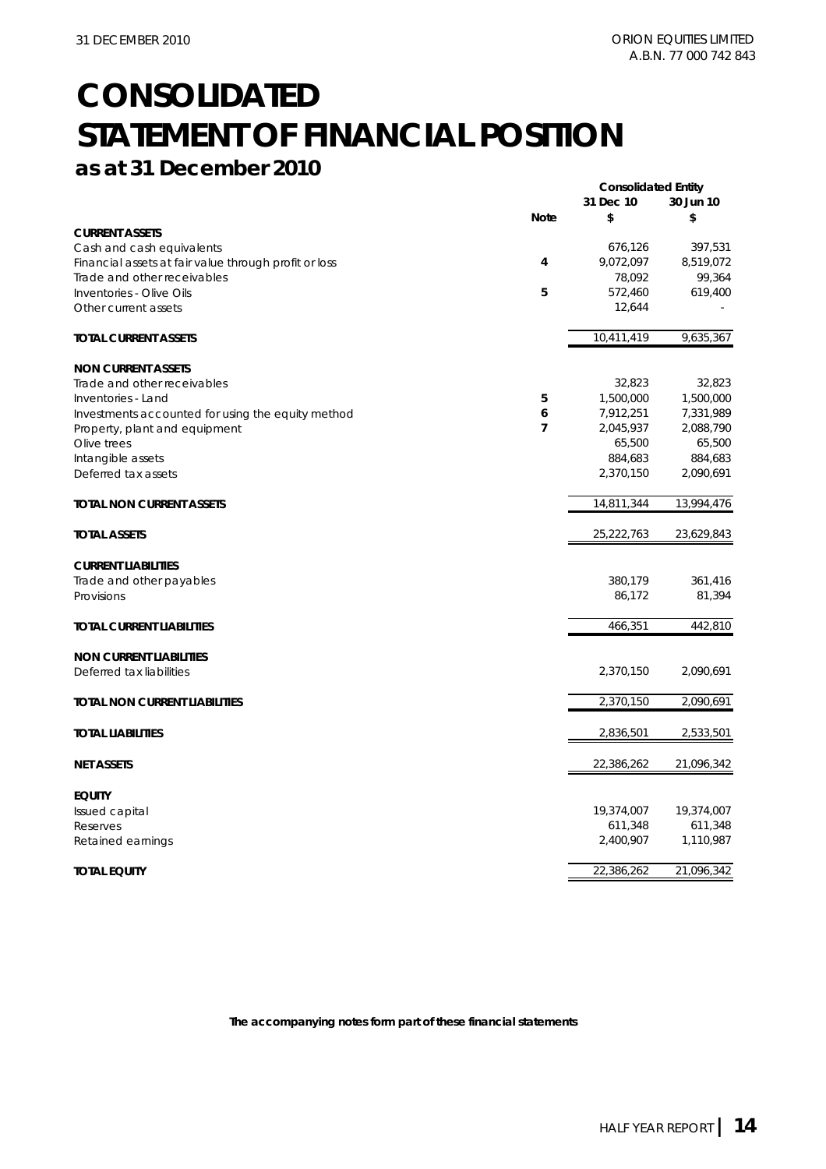### **CONSOLIDATED STATEMENT OF FINANCIAL POSITION as at 31 December 2010**

|                                                       |                | <b>Consolidated Entity</b> |            |
|-------------------------------------------------------|----------------|----------------------------|------------|
|                                                       |                | 31 Dec 10                  | 30 Jun 10  |
|                                                       | <b>Note</b>    | \$                         | \$         |
| <b>CURRENT ASSETS</b>                                 |                |                            |            |
| Cash and cash equivalents                             |                | 676,126                    | 397,531    |
| Financial assets at fair value through profit or loss | 4              | 9,072,097                  | 8,519,072  |
| Trade and other receivables                           |                | 78,092                     | 99,364     |
| Inventories - Olive Oils                              | 5              | 572,460                    | 619,400    |
| Other current assets                                  |                | 12,644                     |            |
| <b>TOTAL CURRENT ASSETS</b>                           |                | 10,411,419                 | 9,635,367  |
| <b>NON CURRENT ASSETS</b>                             |                |                            |            |
| Trade and other receivables                           |                | 32,823                     | 32,823     |
| Inventories - Land                                    | 5              | 1,500,000                  | 1,500,000  |
| Investments accounted for using the equity method     | 6              | 7,912,251                  | 7,331,989  |
| Property, plant and equipment                         | $\overline{7}$ | 2,045,937                  | 2,088,790  |
| Olive trees                                           |                | 65,500                     | 65,500     |
| Intangible assets                                     |                | 884,683                    | 884,683    |
| Deferred tax assets                                   |                | 2,370,150                  | 2,090,691  |
| TOTAL NON CURRENT ASSETS                              |                | 14,811,344                 | 13,994,476 |
| <b>TOTAL ASSETS</b>                                   |                | 25,222,763                 | 23,629,843 |
| <b>CURRENT LIABILITIES</b>                            |                |                            |            |
| Trade and other payables                              |                | 380,179                    | 361,416    |
| Provisions                                            |                | 86,172                     | 81,394     |
| <b>TOTAL CURRENT LIABILITIES</b>                      |                | 466,351                    | 442,810    |
| <b>NON CURRENT LIABILITIES</b>                        |                |                            |            |
| Deferred tax liabilities                              |                | 2,370,150                  | 2,090,691  |
| TOTAL NON CURRENT LIABILITIES                         |                | $\overline{2}$ , 370, 150  | 2,090,691  |
| <b>TOTAL LIABILITIES</b>                              |                | 2,836,501                  | 2,533,501  |
| <b>NET ASSETS</b>                                     |                | 22,386,262                 | 21,096,342 |
| <b>EQUITY</b>                                         |                |                            |            |
| Issued capital                                        |                | 19,374,007                 | 19,374,007 |
| Reserves                                              |                | 611,348                    | 611,348    |
| Retained earnings                                     |                | 2,400,907                  | 1,110,987  |
| <b>TOTAL EQUITY</b>                                   |                | 22,386,262                 | 21,096,342 |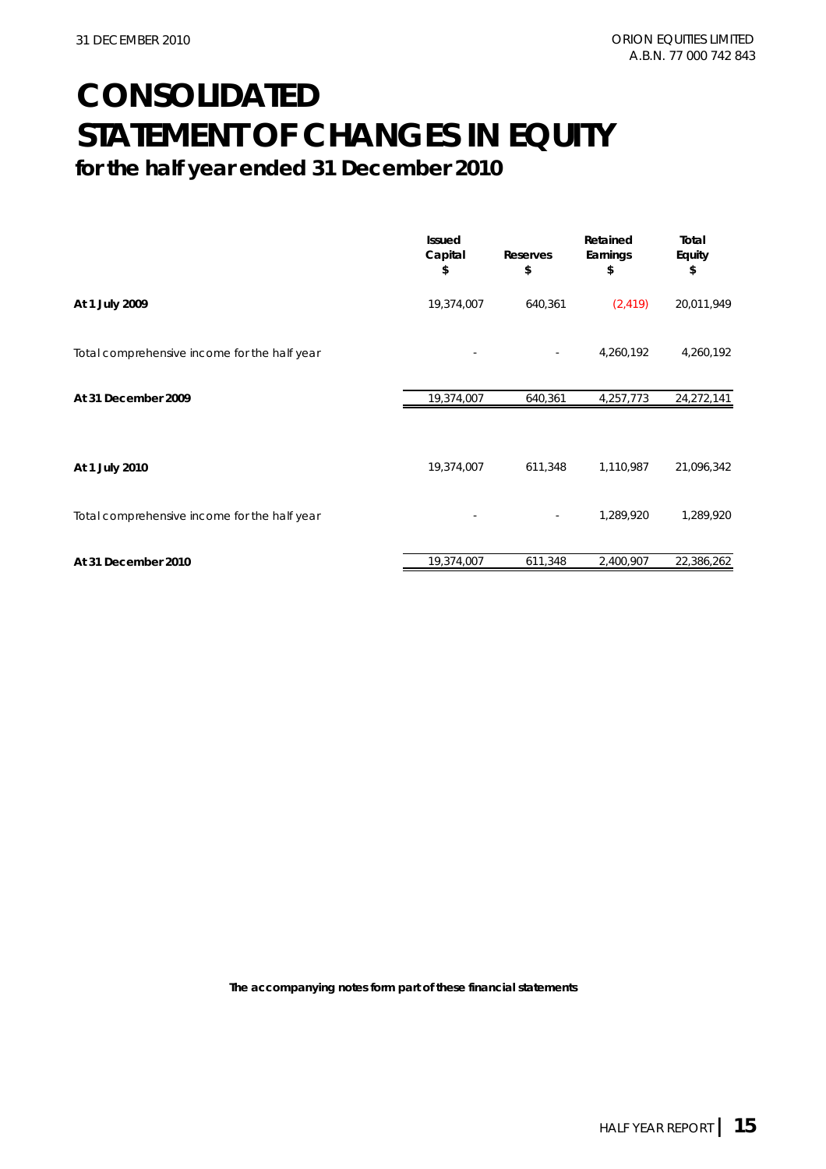### **CONSOLIDATED STATEMENT OF CHANGES IN EQUITY for the half year ended 31 December 2010**

|                                              | <b>Issued</b><br>Capital<br>\$ | Reserves<br>\$           | Retained<br>Earnings<br>\$ | Total<br>Equity<br>\$ |
|----------------------------------------------|--------------------------------|--------------------------|----------------------------|-----------------------|
| At 1 July 2009                               | 19,374,007                     | 640,361                  | (2, 419)                   | 20,011,949            |
| Total comprehensive income for the half year |                                | $\overline{\phantom{a}}$ | 4,260,192                  | 4,260,192             |
| At 31 December 2009                          | 19,374,007                     | 640,361                  | 4,257,773                  | 24,272,141            |
|                                              |                                |                          |                            |                       |
| At 1 July 2010                               | 19,374,007                     | 611,348                  | 1,110,987                  | 21,096,342            |
| Total comprehensive income for the half year |                                |                          | 1,289,920                  | 1,289,920             |
| At 31 December 2010                          | 19,374,007                     | 611,348                  | 2,400,907                  | 22,386,262            |
|                                              |                                |                          |                            |                       |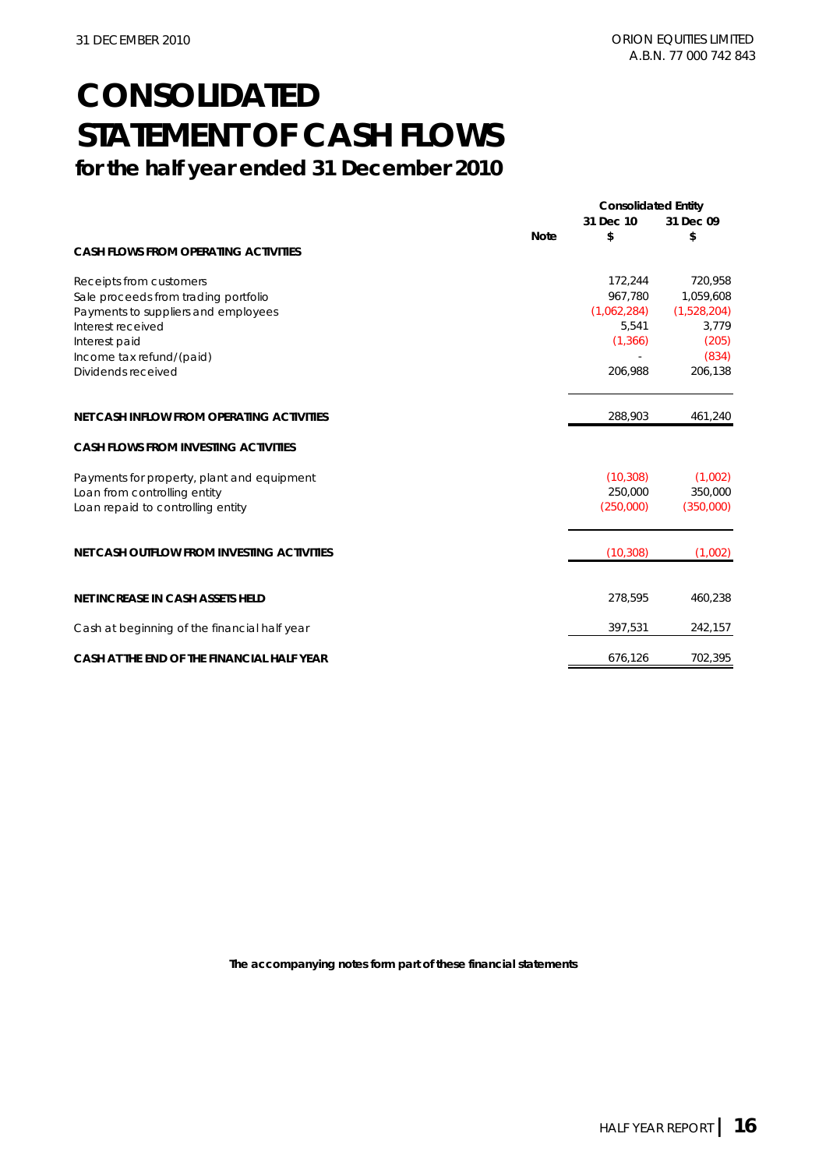### **CONSOLIDATED STATEMENT OF CASH FLOWS for the half year ended 31 December 2010**

|                                                   |             | <b>Consolidated Entity</b> |             |
|---------------------------------------------------|-------------|----------------------------|-------------|
|                                                   |             | 31 Dec 10                  | 31 Dec 09   |
|                                                   | <b>Note</b> | \$                         | \$          |
| <b>CASH FLOWS FROM OPERATING ACTIVITIES</b>       |             |                            |             |
| Receipts from customers                           |             | 172,244                    | 720,958     |
| Sale proceeds from trading portfolio              |             | 967.780                    | 1,059,608   |
| Payments to suppliers and employees               |             | (1,062,284)                | (1,528,204) |
| Interest received                                 |             | 5,541                      | 3,779       |
| Interest paid                                     |             | (1, 366)                   | (205)       |
| Income tax refund/(paid)                          |             |                            | (834)       |
| Dividends received                                |             | 206,988                    | 206,138     |
| NET CASH INFLOW FROM OPERATING ACTIVITIES         |             | 288,903                    | 461,240     |
| <b>CASH FLOWS FROM INVESTING ACTIVITIES</b>       |             |                            |             |
| Payments for property, plant and equipment        |             | (10, 308)                  | (1,002)     |
| Loan from controlling entity                      |             | 250,000                    | 350,000     |
| Loan repaid to controlling entity                 |             | (250,000)                  | (350,000)   |
| <b>NET CASH OUTFLOW FROM INVESTING ACTIVITIES</b> |             | (10, 308)                  | (1,002)     |
|                                                   |             |                            |             |
| <b>NET INCREASE IN CASH ASSETS HELD</b>           |             | 278,595                    | 460,238     |
| Cash at beginning of the financial half year      |             | 397,531                    | 242,157     |
| CASH AT THE END OF THE FINANCIAL HALF YEAR        |             | 676,126                    | 702,395     |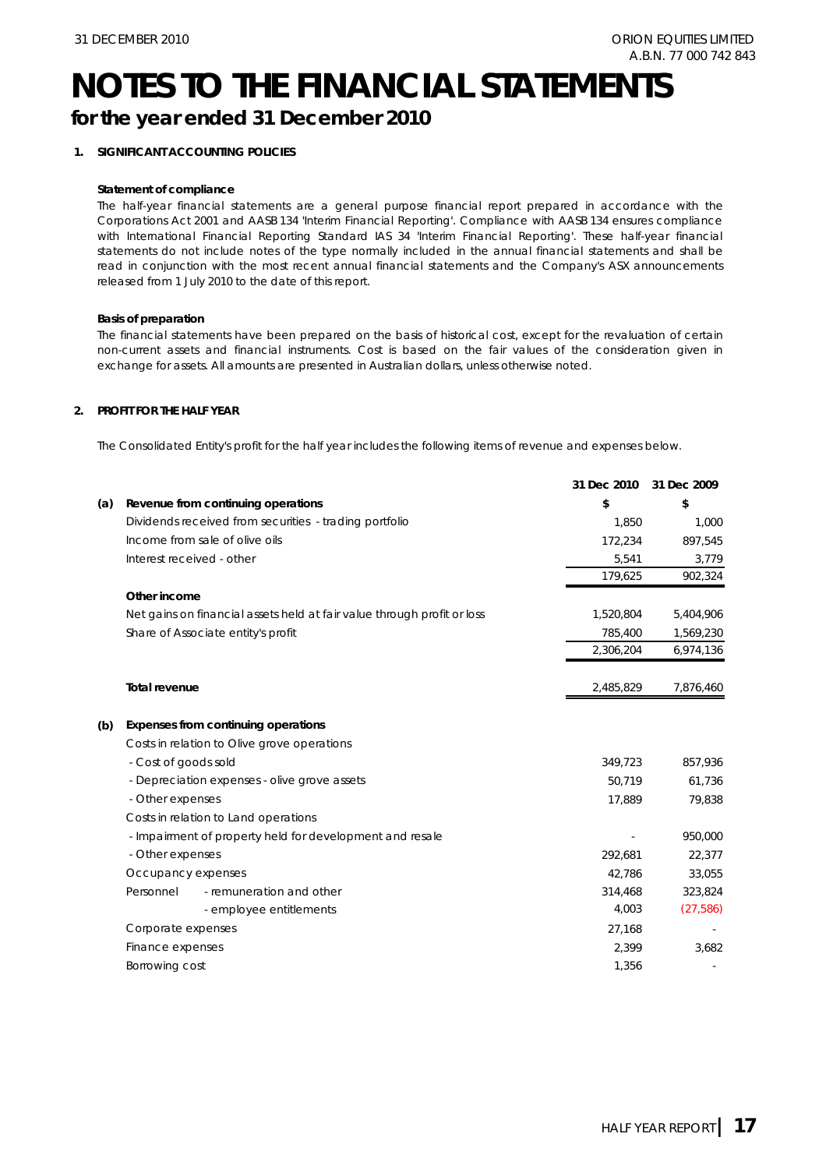# **NOTES TO THE FINANCIAL STATEMENTS**

### **for the year ended 31 December 2010**

### **1. SIGNIFICANT ACCOUNTING POLICIES**

#### **Statement of compliance**

The half-year financial statements are a general purpose financial report prepared in accordance with the Corporations Act 2001 and AASB 134 'Interim Financial Reporting'. Compliance with AASB 134 ensures compliance with International Financial Reporting Standard IAS 34 'Interim Financial Reporting'. These half-year financial statements do not include notes of the type normally included in the annual financial statements and shall be read in conjunction with the most recent annual financial statements and the Company's ASX announcements released from 1 July 2010 to the date of this report.

### **Basis of preparation**

The financial statements have been prepared on the basis of historical cost, except for the revaluation of certain non-current assets and financial instruments. Cost is based on the fair values of the consideration given in exchange for assets. All amounts are presented in Australian dollars, unless otherwise noted.

### **2. PROFIT FOR THE HALF YEAR**

The Consolidated Entity's profit for the half year includes the following items of revenue and expenses below.

|     |                                                                         | 31 Dec 2010 | 31 Dec 2009 |
|-----|-------------------------------------------------------------------------|-------------|-------------|
| (a) | Revenue from continuing operations                                      | \$          | \$          |
|     | Dividends received from securities - trading portfolio                  | 1.850       | 1,000       |
|     | Income from sale of olive oils                                          | 172,234     | 897,545     |
|     | Interest received - other                                               | 5,541       | 3,779       |
|     |                                                                         | 179,625     | 902,324     |
|     | Other income                                                            |             |             |
|     | Net gains on financial assets held at fair value through profit or loss | 1,520,804   | 5,404,906   |
|     | Share of Associate entity's profit                                      | 785,400     | 1,569,230   |
|     |                                                                         | 2,306,204   | 6,974,136   |
|     | Total revenue                                                           | 2,485,829   | 7,876,460   |
| (b) | Expenses from continuing operations                                     |             |             |
|     | Costs in relation to Olive grove operations                             |             |             |
|     | - Cost of goods sold                                                    | 349,723     | 857,936     |
|     | - Depreciation expenses - olive grove assets                            | 50,719      | 61,736      |
|     | - Other expenses                                                        | 17,889      | 79,838      |
|     | Costs in relation to Land operations                                    |             |             |
|     | - Impairment of property held for development and resale                |             | 950,000     |
|     | - Other expenses                                                        | 292,681     | 22,377      |
|     | Occupancy expenses                                                      | 42.786      | 33,055      |
|     | Personnel<br>- remuneration and other                                   | 314,468     | 323,824     |
|     | - employee entitlements                                                 | 4,003       | (27, 586)   |
|     | Corporate expenses                                                      | 27,168      |             |
|     | Finance expenses                                                        | 2,399       | 3,682       |
|     | Borrowing cost                                                          | 1,356       |             |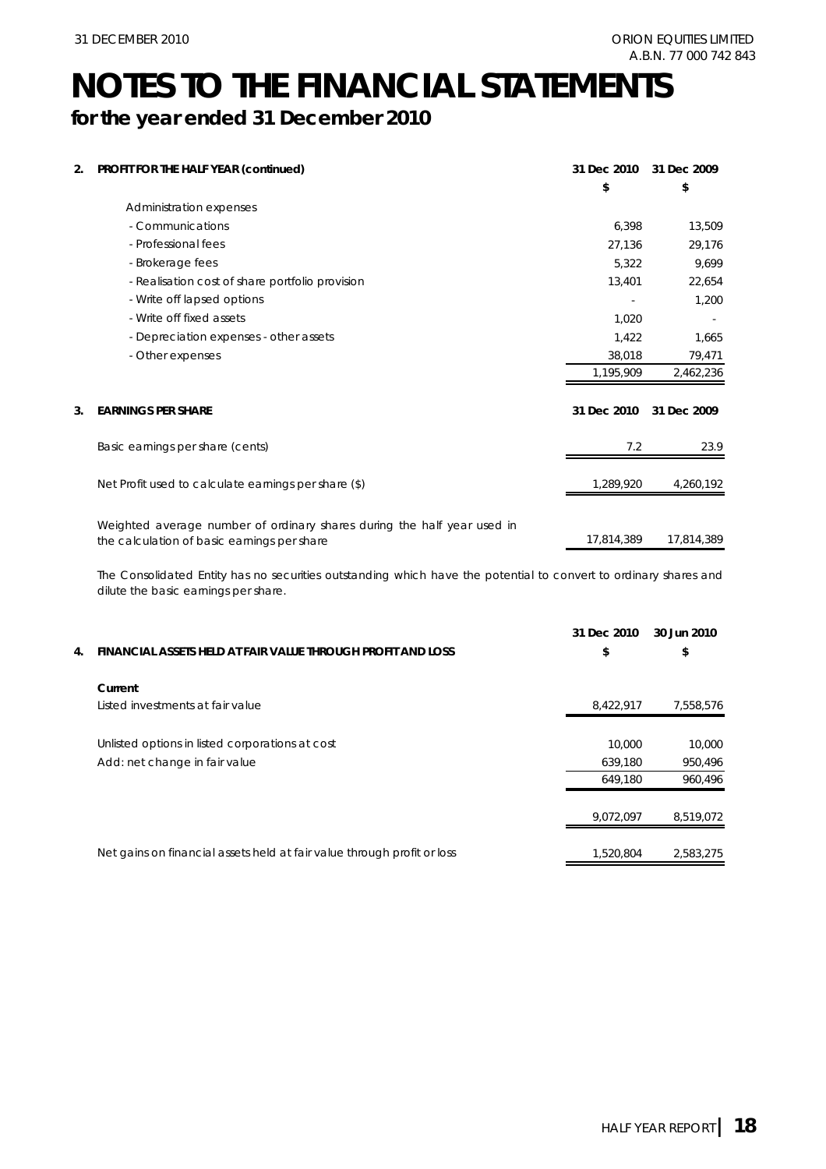### **NOTES TO THE FINANCIAL STATEMENTS for the year ended 31 December 2010**

| 2. | PROFIT FOR THE HALF YEAR (continued)                                                                                   | 31 Dec 2010 | 31 Dec 2009 |
|----|------------------------------------------------------------------------------------------------------------------------|-------------|-------------|
|    |                                                                                                                        | \$          | \$          |
|    | Administration expenses                                                                                                |             |             |
|    | - Communications                                                                                                       | 6,398       | 13,509      |
|    | - Professional fees                                                                                                    | 27,136      | 29,176      |
|    | - Brokerage fees                                                                                                       | 5,322       | 9,699       |
|    | - Realisation cost of share portfolio provision                                                                        | 13,401      | 22,654      |
|    | - Write off lapsed options                                                                                             |             | 1,200       |
|    | - Write off fixed assets                                                                                               | 1.020       |             |
|    | - Depreciation expenses - other assets                                                                                 | 1,422       | 1,665       |
|    | - Other expenses                                                                                                       | 38,018      | 79,471      |
|    |                                                                                                                        | 1,195,909   | 2,462,236   |
| 3. | <b>EARNINGS PER SHARE</b>                                                                                              | 31 Dec 2010 | 31 Dec 2009 |
|    | Basic earnings per share (cents)                                                                                       | 7.2         | 23.9        |
|    | Net Profit used to calculate earnings per share (\$)                                                                   | 1,289,920   | 4,260,192   |
|    | Weighted average number of ordinary shares during the half year used in<br>the calculation of basic earnings per share | 17,814,389  | 17,814,389  |

The Consolidated Entity has no securities outstanding which have the potential to convert to ordinary shares and dilute the basic earnings per share.

|    |                                                                         | 31 Dec 2010 | 30 Jun 2010 |
|----|-------------------------------------------------------------------------|-------------|-------------|
| 4. | FINANCIAL ASSETS HELD AT FAIR VALUE THROUGH PROFIT AND LOSS             | \$          | \$          |
|    | Current                                                                 |             |             |
|    | Listed investments at fair value                                        | 8,422,917   | 7,558,576   |
|    | Unlisted options in listed corporations at cost                         | 10,000      | 10,000      |
|    | Add: net change in fair value                                           | 639,180     | 950,496     |
|    |                                                                         | 649.180     | 960.496     |
|    |                                                                         | 9.072.097   | 8.519.072   |
|    | Net gains on financial assets held at fair value through profit or loss | 1,520,804   | 2.583.275   |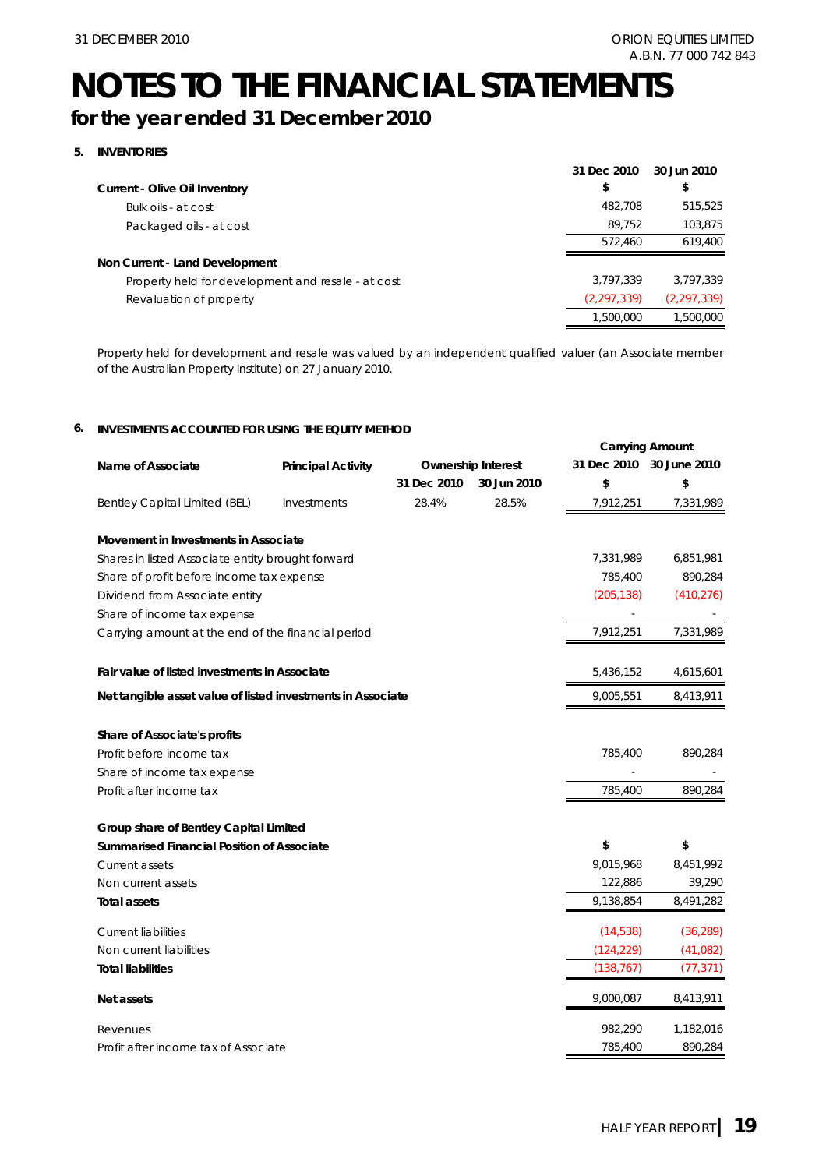# **NOTES TO THE FINANCIAL STATEMENTS**

### **for the year ended 31 December 2010**

### **5. INVENTORIES**

| Current - Olive Oil Inventory<br>Bulk oils - at cost | \$<br>482,708 | \$            |
|------------------------------------------------------|---------------|---------------|
|                                                      |               |               |
|                                                      |               | 515.525       |
| Packaged oils - at cost                              | 89.752        | 103,875       |
|                                                      | 572.460       | 619,400       |
| Non Current - Land Development                       |               |               |
| Property held for development and resale - at cost   | 3.797.339     | 3.797.339     |
| Revaluation of property                              | (2, 297, 339) | (2, 297, 339) |
|                                                      | 1,500,000     | 1,500,000     |

Property held for development and resale was valued by an independent qualified valuer (an Associate member of the Australian Property Institute) on 27 January 2010.

#### **6. INVESTMENTS ACCOUNTED FOR USING THE EQUITY METHOD**

|                                                             |                           |             |                           |             | <b>Carrying Amount</b> |
|-------------------------------------------------------------|---------------------------|-------------|---------------------------|-------------|------------------------|
| Name of Associate                                           | <b>Principal Activity</b> |             | <b>Ownership Interest</b> | 31 Dec 2010 | 30 June 2010           |
|                                                             |                           | 31 Dec 2010 | 30 Jun 2010               | \$          | \$                     |
| Bentley Capital Limited (BEL)                               | Investments               | 28.4%       | 28.5%                     | 7,912,251   | 7,331,989              |
| Movement in Investments in Associate                        |                           |             |                           |             |                        |
| Shares in listed Associate entity brought forward           |                           |             |                           | 7,331,989   | 6,851,981              |
| Share of profit before income tax expense                   |                           |             |                           | 785,400     | 890,284                |
| Dividend from Associate entity                              |                           |             |                           | (205, 138)  | (410, 276)             |
| Share of income tax expense                                 |                           |             |                           |             |                        |
| Carrying amount at the end of the financial period          |                           |             |                           | 7,912,251   | 7,331,989              |
| Fair value of listed investments in Associate               |                           |             |                           | 5,436,152   | 4,615,601              |
| Net tangible asset value of listed investments in Associate |                           |             |                           | 9,005,551   | 8,413,911              |
| Share of Associate's profits                                |                           |             |                           |             |                        |
| Profit before income tax                                    |                           |             |                           | 785,400     | 890,284                |
| Share of income tax expense                                 |                           |             |                           |             |                        |
| Profit after income tax                                     |                           |             |                           | 785,400     | 890,284                |
| Group share of Bentley Capital Limited                      |                           |             |                           |             |                        |
| Summarised Financial Position of Associate                  |                           |             |                           | \$          | \$                     |
| Current assets                                              |                           |             |                           | 9,015,968   | 8,451,992              |
| Non current assets                                          |                           |             |                           | 122,886     | 39,290                 |
| <b>Total assets</b>                                         |                           |             |                           | 9,138,854   | 8,491,282              |
| <b>Current liabilities</b>                                  |                           |             |                           | (14, 538)   | (36, 289)              |
| Non current liabilities                                     |                           |             |                           | (124, 229)  | (41,082)               |
| <b>Total liabilities</b>                                    |                           |             |                           | (138, 767)  | (77, 371)              |
| Net assets                                                  |                           |             |                           | 9,000,087   | 8,413,911              |
| Revenues                                                    |                           |             |                           | 982,290     | 1,182,016              |
| Profit after income tax of Associate                        |                           |             |                           | 785,400     | 890,284                |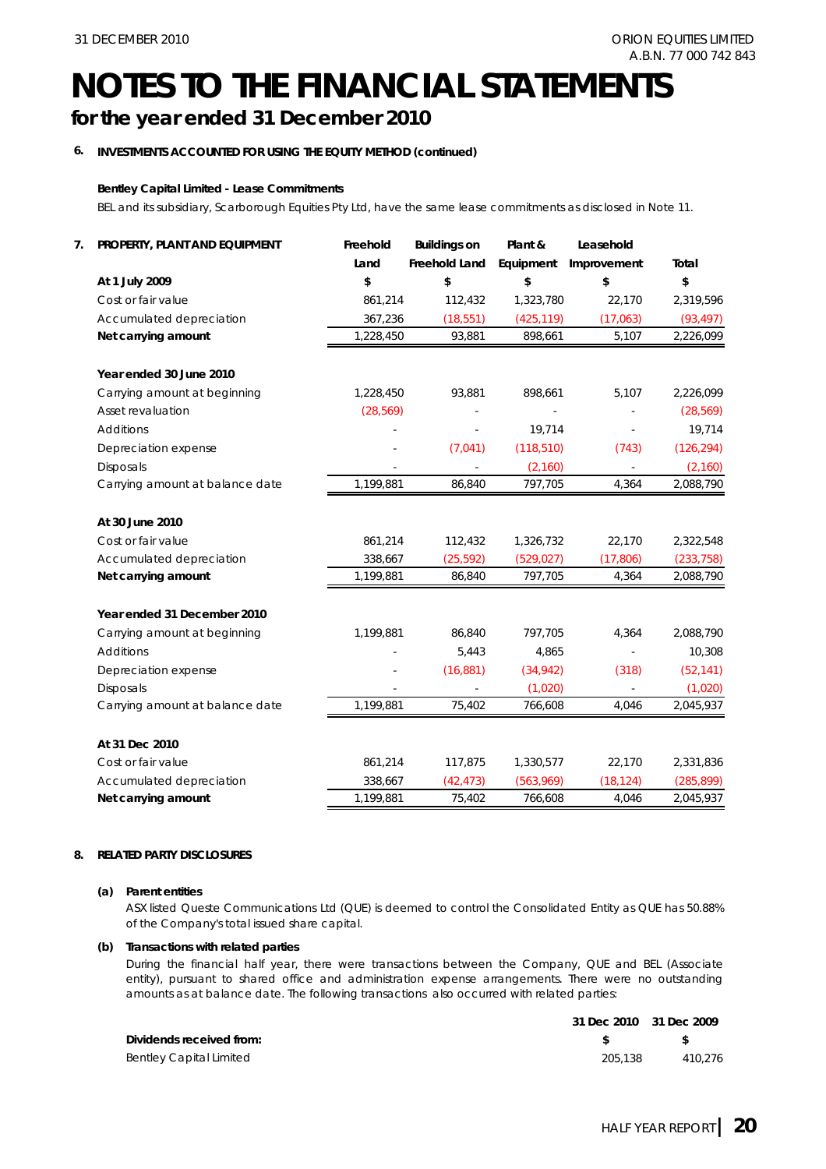### **NOTES TO THE FINANCIAL STATEMENTS for the year ended 31 December 2010**

### **6. INVESTMENTS ACCOUNTED FOR USING THE EQUITY METHOD (continued)**

### **Bentley Capital Limited - Lease Commitments**

BEL and its subsidiary, Scarborough Equities Pty Ltd, have the same lease commitments as disclosed in Note 11.

| 7. | PROPERTY, PLANT AND EQUIPMENT   | Freehold  | <b>Buildings on</b> | Plant &    | Leasehold   |            |
|----|---------------------------------|-----------|---------------------|------------|-------------|------------|
|    |                                 | Land      | Freehold Land       | Equipment  | Improvement | Total      |
|    | At 1 July 2009                  | \$        | \$                  | \$         | \$          | \$         |
|    | Cost or fair value              | 861,214   | 112,432             | 1,323,780  | 22,170      | 2,319,596  |
|    | Accumulated depreciation        | 367,236   | (18, 551)           | (425, 119) | (17,063)    | (93, 497)  |
|    | Net carrying amount             | 1,228,450 | 93,881              | 898,661    | 5,107       | 2,226,099  |
|    | Year ended 30 June 2010         |           |                     |            |             |            |
|    | Carrying amount at beginning    | 1,228,450 | 93,881              | 898,661    | 5,107       | 2,226,099  |
|    | Asset revaluation               | (28, 569) |                     | $\omega$   |             | (28, 569)  |
|    | <b>Additions</b>                |           |                     | 19,714     |             | 19,714     |
|    | Depreciation expense            |           | (7,041)             | (118, 510) | (743)       | (126, 294) |
|    | <b>Disposals</b>                |           |                     | (2,160)    |             | (2, 160)   |
|    | Carrying amount at balance date | 1,199,881 | 86,840              | 797,705    | 4,364       | 2,088,790  |
|    | At 30 June 2010                 |           |                     |            |             |            |
|    | Cost or fair value              | 861,214   | 112,432             | 1,326,732  | 22,170      | 2,322,548  |
|    | Accumulated depreciation        | 338,667   | (25, 592)           | (529, 027) | (17, 806)   | (233, 758) |
|    | Net carrying amount             | 1,199,881 | 86,840              | 797,705    | 4,364       | 2,088,790  |
|    | Year ended 31 December 2010     |           |                     |            |             |            |
|    | Carrying amount at beginning    | 1,199,881 | 86,840              | 797,705    | 4,364       | 2,088,790  |
|    | <b>Additions</b>                |           | 5,443               | 4,865      |             | 10,308     |
|    | Depreciation expense            |           | (16, 881)           | (34, 942)  | (318)       | (52, 141)  |
|    | <b>Disposals</b>                |           |                     | (1,020)    |             | (1,020)    |
|    | Carrying amount at balance date | 1,199,881 | 75,402              | 766,608    | 4,046       | 2,045,937  |
|    | At 31 Dec 2010                  |           |                     |            |             |            |
|    | Cost or fair value              | 861,214   | 117,875             | 1,330,577  | 22,170      | 2,331,836  |
|    | Accumulated depreciation        | 338,667   | (42, 473)           | (563,969)  | (18, 124)   | (285, 899) |
|    | Net carrying amount             | 1,199,881 | 75,402              | 766,608    | 4,046       | 2,045,937  |

### **8. RELATED PARTY DISCLOSURES**

#### **(a) Parent entities**

ASX listed Queste Communications Ltd (QUE) is deemed to control the Consolidated Entity as QUE has 50.88% of the Company's total issued share capital.

### **(b) Transactions with related parties**

During the financial half year, there were transactions between the Company, QUE and BEL (Associate entity), pursuant to shared office and administration expense arrangements. There were no outstanding amounts as at balance date. The following transactions also occurred with related parties:

|                                | 31 Dec 2010 31 Dec 2009 |         |
|--------------------------------|-------------------------|---------|
| Dividends received from:       |                         | - SS    |
| <b>Bentley Capital Limited</b> | 205.138                 | 410.276 |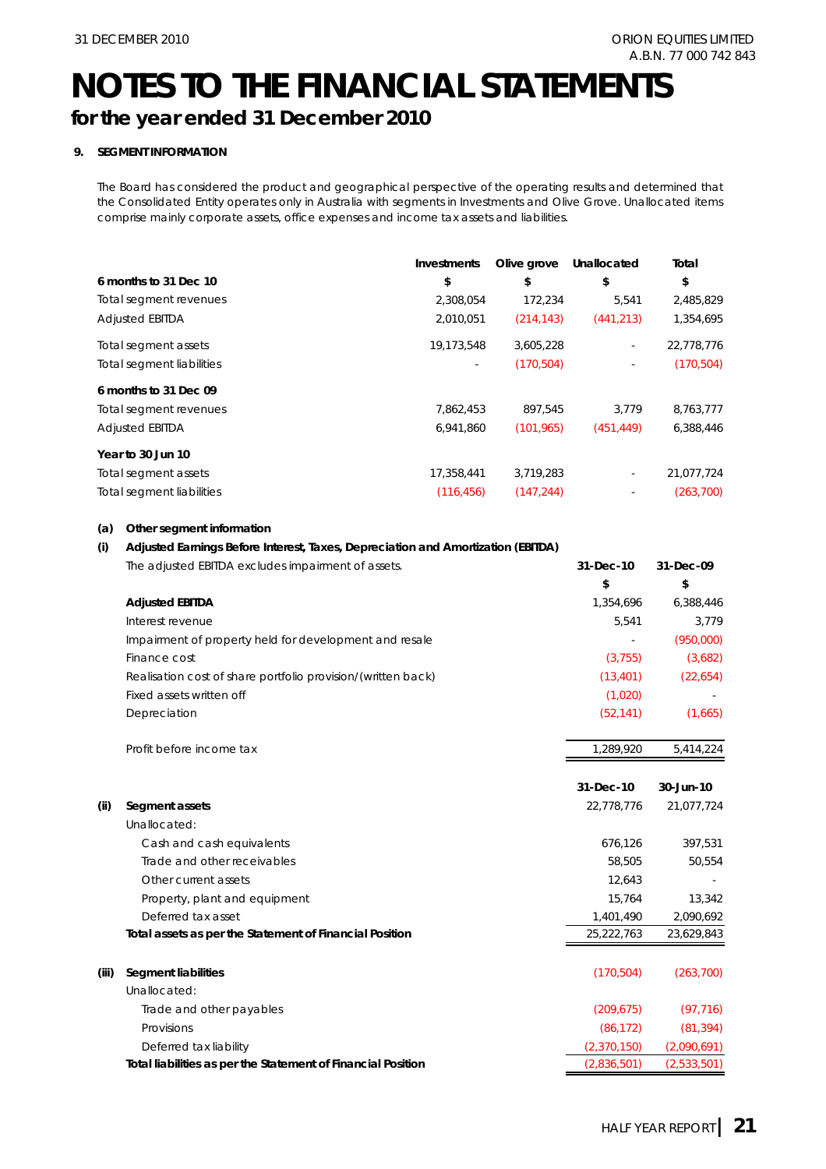### **NOTES TO THE FINANCIAL STATEMENTS for the year ended 31 December 2010**

### **9. SEGMENT INFORMATION**

The Board has considered the product and geographical perspective of the operating results and determined that the Consolidated Entity operates only in Australia with segments in Investments and Olive Grove. Unallocated items comprise mainly corporate assets, office expenses and income tax assets and liabilities.

|                                  | Investments              | Olive grove | Unallocated              | Total      |
|----------------------------------|--------------------------|-------------|--------------------------|------------|
| 6 months to 31 Dec 10            | \$                       | \$          | \$                       | \$         |
| Total segment revenues           | 2,308,054                | 172,234     | 5,541                    | 2,485,829  |
| <b>Adjusted EBITDA</b>           | 2,010,051                | (214, 143)  | (441, 213)               | 1,354,695  |
| Total segment assets             | 19,173,548               | 3,605,228   | $\sim$                   | 22,778,776 |
| <b>Total segment liabilities</b> | $\overline{\phantom{a}}$ | (170, 504)  | $\overline{\phantom{a}}$ | (170, 504) |
| 6 months to 31 Dec 09            |                          |             |                          |            |
| Total segment revenues           | 7,862,453                | 897.545     | 3.779                    | 8,763,777  |
| <b>Adjusted EBITDA</b>           | 6,941,860                | (101, 965)  | (451, 449)               | 6,388,446  |
| Year to 30 Jun 10                |                          |             |                          |            |
| Total segment assets             | 17,358,441               | 3,719,283   | $\overline{\phantom{a}}$ | 21,077,724 |
| <b>Total segment liabilities</b> | (116, 456)               | (147, 244)  | ٠                        | (263, 700) |

#### **(a) Other segment information**

#### **(i) Adjusted Earnings Before Interest, Taxes, Depreciation and Amortization (EBITDA)**

| The adjusted EBITDA excludes impairment of assets.           | $31-Dec-10$ | 31-Dec-09 |
|--------------------------------------------------------------|-------------|-----------|
|                                                              | \$          | \$        |
| <b>Adjusted EBITDA</b>                                       | 1.354.696   | 6.388.446 |
| Interest revenue                                             | 5.541       | 3.779     |
| Impairment of property held for development and resale       |             | (950,000) |
| Finance cost                                                 | (3,755)     | (3,682)   |
| Realisation cost of share portfolio provision/(written back) | (13, 401)   | (22, 654) |
| Fixed assets written off                                     | (1,020)     |           |
| Depreciation                                                 | (52, 141)   | (1,665)   |
| Profit before income tax                                     | 1.289.920   | 5.414.224 |

|       |                                                              | 31-Dec-10   | 30-Jun-10   |
|-------|--------------------------------------------------------------|-------------|-------------|
| (ii)  | Segment assets                                               | 22,778,776  | 21,077,724  |
|       | Unallocated:                                                 |             |             |
|       | Cash and cash equivalents                                    | 676,126     | 397,531     |
|       | Trade and other receivables                                  | 58,505      | 50,554      |
|       | Other current assets                                         | 12,643      |             |
|       | Property, plant and equipment                                | 15,764      | 13,342      |
|       | Deferred tax asset                                           | 1,401,490   | 2,090,692   |
|       | Total assets as per the Statement of Financial Position      | 25,222,763  | 23,629,843  |
|       |                                                              |             |             |
| (iii) | <b>Segment liabilities</b>                                   | (170, 504)  | (263, 700)  |
|       | Unallocated:                                                 |             |             |
|       | Trade and other payables                                     | (209, 675)  | (97, 716)   |
|       | Provisions                                                   | (86, 172)   | (81, 394)   |
|       | Deferred tax liability                                       | (2,370,150) | (2,090,691) |
|       | Total liabilities as per the Statement of Financial Position | (2,836,501) | (2,533,501) |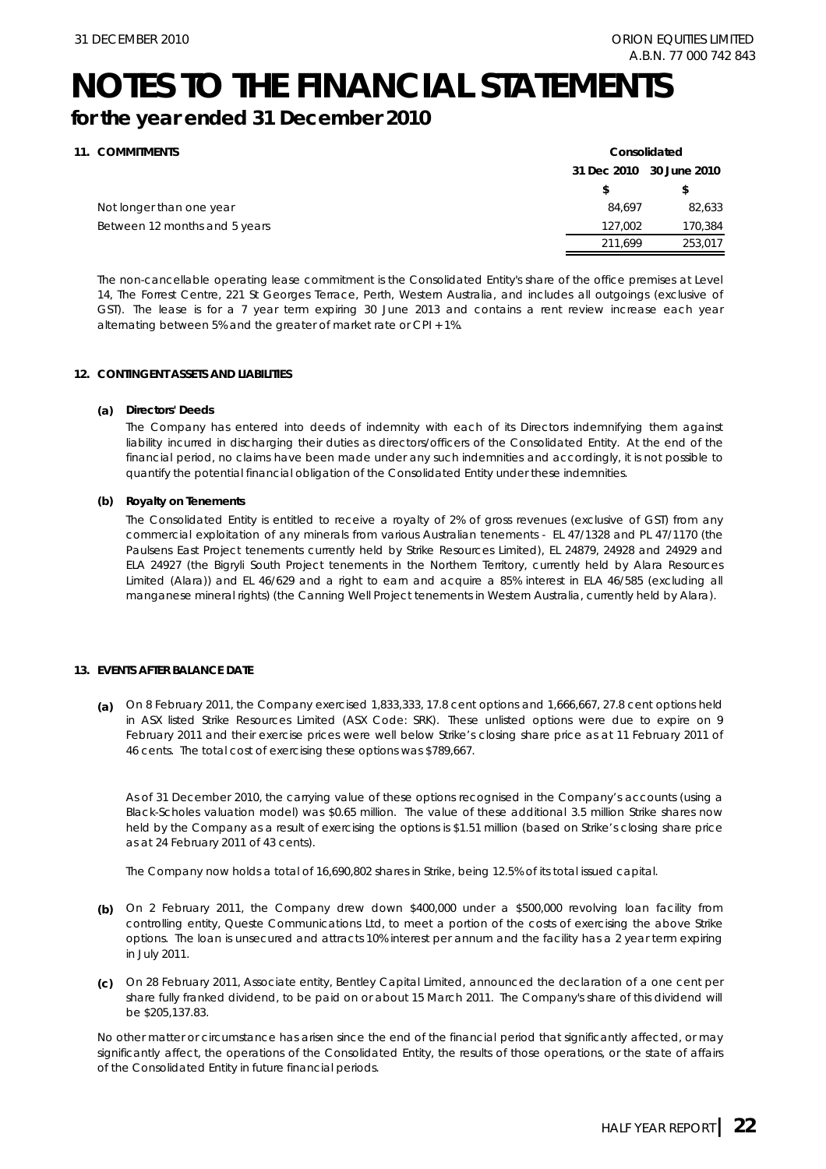## **NOTES TO THE FINANCIAL STATEMENTS**

### **for the year ended 31 December 2010**

| 11. COMMITMENTS               |             | Consolidated |
|-------------------------------|-------------|--------------|
|                               | 31 Dec 2010 | 30 June 2010 |
|                               |             | \$           |
| Not longer than one year      | 84.697      | 82,633       |
| Between 12 months and 5 years | 127.002     | 170,384      |
|                               | 211.699     | 253,017      |
|                               |             |              |

The non-cancellable operating lease commitment is the Consolidated Entity's share of the office premises at Level 14, The Forrest Centre, 221 St Georges Terrace, Perth, Western Australia, and includes all outgoings (exclusive of GST). The lease is for a 7 year term expiring 30 June 2013 and contains a rent review increase each year alternating between 5% and the greater of market rate or CPI + 1%.

#### **12. CONTINGENT ASSETS AND LIABILITIES**

#### **(a) Directors' Deeds**

The Company has entered into deeds of indemnity with each of its Directors indemnifying them against liability incurred in discharging their duties as directors/officers of the Consolidated Entity. At the end of the financial period, no claims have been made under any such indemnities and accordingly, it is not possible to quantify the potential financial obligation of the Consolidated Entity under these indemnities.

#### **(b) Royalty on Tenements**

The Consolidated Entity is entitled to receive a royalty of 2% of gross revenues (exclusive of GST) from any commercial exploitation of any minerals from various Australian tenements - EL 47/1328 and PL 47/1170 (the Paulsens East Project tenements currently held by Strike Resources Limited), EL 24879, 24928 and 24929 and ELA 24927 (the Bigryli South Project tenements in the Northern Territory, currently held by Alara Resources Limited (Alara)) and EL 46/629 and a right to earn and acquire a 85% interest in ELA 46/585 (excluding all manganese mineral rights) (the Canning Well Project tenements in Western Australia, currently held by Alara).

#### **13. EVENTS AFTER BALANCE DATE**

**(a)**  On 8 February 2011, the Company exercised 1,833,333, 17.8 cent options and 1,666,667, 27.8 cent options held in ASX listed Strike Resources Limited (ASX Code: SRK). These unlisted options were due to expire on 9 February 2011 and their exercise prices were well below Strike's closing share price as at 11 February 2011 of 46 cents. The total cost of exercising these options was \$789,667.

As of 31 December 2010, the carrying value of these options recognised in the Company's accounts (using a Black-Scholes valuation model) was \$0.65 million. The value of these additional 3.5 million Strike shares now held by the Company as a result of exercising the options is \$1.51 million (based on Strike's closing share price as at 24 February 2011 of 43 cents).

The Company now holds a total of 16,690,802 shares in Strike, being 12.5% of its total issued capital.

- **(b)**  On 2 February 2011, the Company drew down \$400,000 under a \$500,000 revolving loan facility from controlling entity, Queste Communications Ltd, to meet a portion of the costs of exercising the above Strike options. The loan is unsecured and attracts 10% interest per annum and the facility has a 2 year term expiring in July 2011.
- **(c)**  On 28 February 2011, Associate entity, Bentley Capital Limited, announced the declaration of a one cent per share fully franked dividend, to be paid on or about 15 March 2011. The Company's share of this dividend will be \$205,137.83.

No other matter or circumstance has arisen since the end of the financial period that significantly affected, or may significantly affect, the operations of the Consolidated Entity, the results of those operations, or the state of affairs of the Consolidated Entity in future financial periods.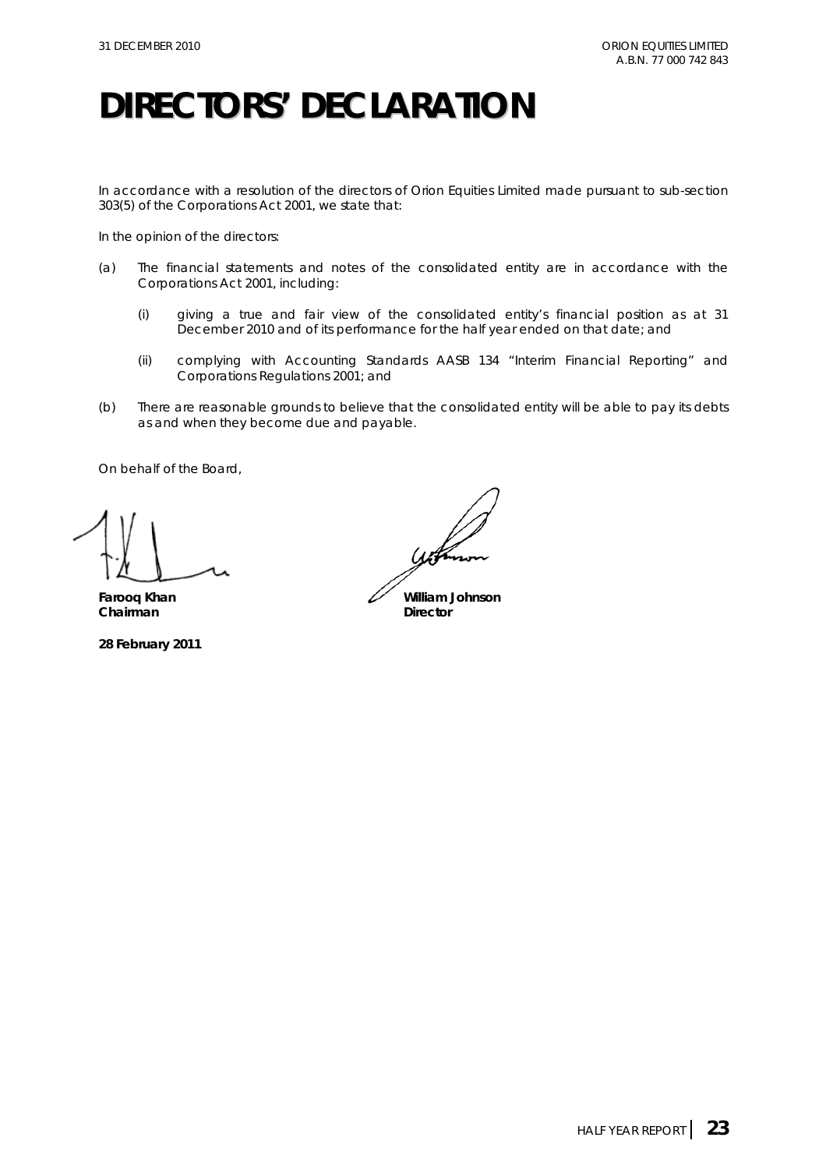## **DIRECTORS' DECLARATION**

In accordance with a resolution of the directors of Orion Equities Limited made pursuant to sub-section 303(5) of the *Corporations Act 2001*, we state that:

In the opinion of the directors:

- (a) The financial statements and notes of the consolidated entity are in accordance with the *Corporations Act 2001*, including:
	- (i) giving a true and fair view of the consolidated entity's financial position as at 31 December 2010 and of its performance for the half year ended on that date; and
	- (ii) complying with Accounting Standards AASB 134 "Interim Financial Reporting" and *Corporations Regulations 2001*; and
- (b) There are reasonable grounds to believe that the consolidated entity will be able to pay its debts as and when they become due and payable.

On behalf of the Board,

**Chairman** Director

**28 February 2011** 

Farooq Khan **William Johnson**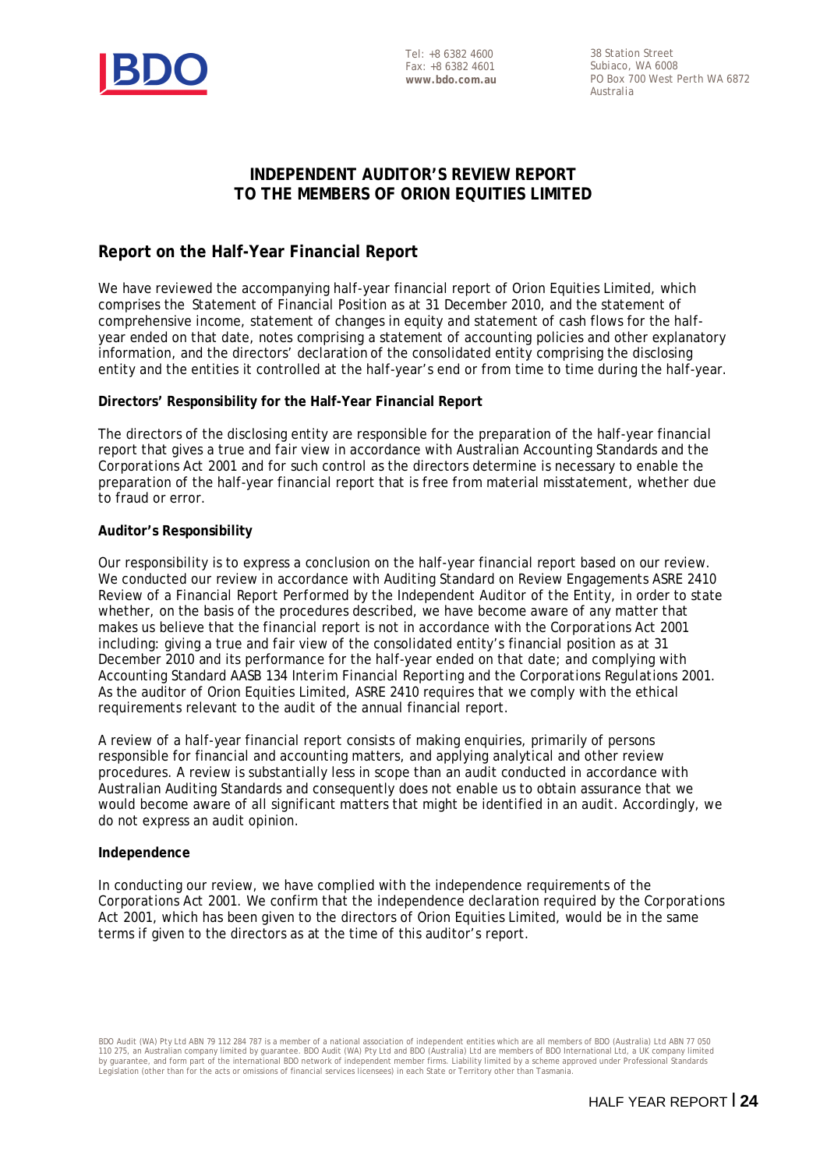

Tel: +8 6382 4600 Fax: +8 6382 4601 **www.bdo.com.au**  38 Station Street Subiaco, WA 6008 PO Box 700 West Perth WA 6872 Australia

### **INDEPENDENT AUDITOR'S REVIEW REPORT TO THE MEMBERS OF ORION EQUITIES LIMITED**

### **Report on the Half-Year Financial Report**

We have reviewed the accompanying half-year financial report of Orion Equities Limited, which comprises the Statement of Financial Position as at 31 December 2010, and the statement of comprehensive income, statement of changes in equity and statement of cash flows for the halfyear ended on that date, notes comprising a statement of accounting policies and other explanatory information, and the directors' declaration of the consolidated entity comprising the disclosing entity and the entities it controlled at the half-year's end or from time to time during the half-year.

### **Directors' Responsibility for the Half-Year Financial Report**

The directors of the disclosing entity are responsible for the preparation of the half-year financial report that gives a true and fair view in accordance with Australian Accounting Standards and the *Corporations Act 2001* and for such control as the directors determine is necessary to enable the preparation of the half-year financial report that is free from material misstatement, whether due to fraud or error.

### **Auditor's Responsibility**

Our responsibility is to express a conclusion on the half-year financial report based on our review. We conducted our review in accordance with Auditing Standard on Review Engagements ASRE 2410 *Review of a Financial Report Performed by the Independent Auditor of the Entity*, in order to state whether, on the basis of the procedures described, we have become aware of any matter that makes us believe that the financial report is not in accordance with the *Corporations Act 2001* including: giving a true and fair view of the consolidated entity's financial position as at 31 December 2010 and its performance for the half-year ended on that date; and complying with Accounting Standard AASB 134 *Interim Financial Reporting* and the *Corporations Regulations 2001*. As the auditor of Orion Equities Limited, ASRE 2410 requires that we comply with the ethical requirements relevant to the audit of the annual financial report.

A review of a half-year financial report consists of making enquiries, primarily of persons responsible for financial and accounting matters, and applying analytical and other review procedures. A review is substantially less in scope than an audit conducted in accordance with Australian Auditing Standards and consequently does not enable us to obtain assurance that we would become aware of all significant matters that might be identified in an audit. Accordingly, we do not express an audit opinion.

### **Independence**

In conducting our review, we have complied with the independence requirements of the *Corporations Act 2001*. We confirm that the independence declaration required by the *Corporations Act 2001,* which has been given to the directors of Orion Equities Limited, would be in the same terms if given to the directors as at the time of this auditor's report.

BDO Audit (WA) Pty Ltd ABN 79 112 284 787 is a member of a national association of independent entities which are all members of BDO (Australia) Ltd ABN 77 050 110 275, an Australian company limited by guarantee. BDO Audit (WA) Pty Ltd and BDO (Australia) Ltd are members of BDO International Ltd, a UK company limited<br>by guarantee, and form part of the international BDO network of Legislation (other than for the acts or omissions of financial services licensees) in each State or Territory other than Tasmania.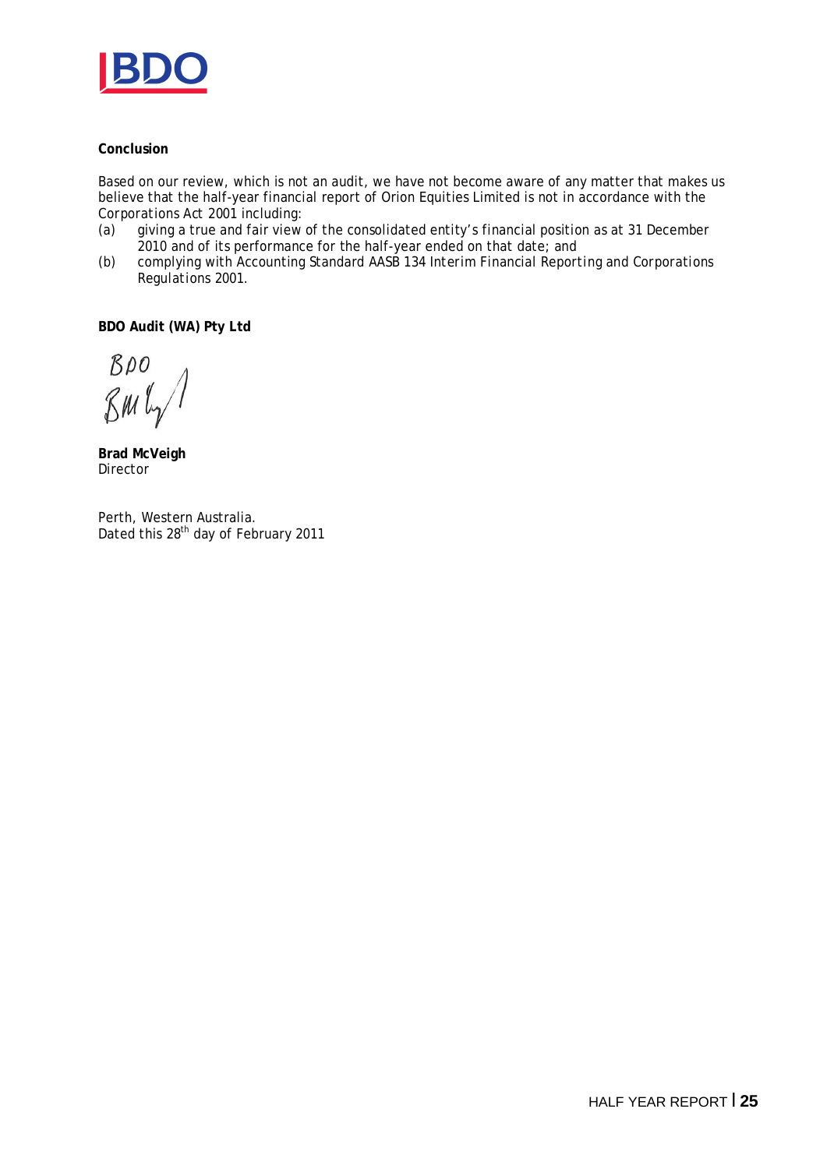

### **Conclusion**

Based on our review, which is not an audit, we have not become aware of any matter that makes us believe that the half-year financial report of Orion Equities Limited is not in accordance with the *Corporations Act 2001* including:

- (a) giving a true and fair view of the consolidated entity's financial position as at 31 December 2010 and of its performance for the half-year ended on that date; and
- (b) complying with Accounting Standard AASB 134 *Interim Financial Reporting* and *Corporations Regulations 2001*.

**BDO Audit (WA) Pty Ltd**

 $BDO$  $\mathcal{R}$ M $\mathcal{L}_{\gamma}$ 

**Brad McVeigh**  Director

Perth, Western Australia. Dated this 28<sup>th</sup> day of February 2011